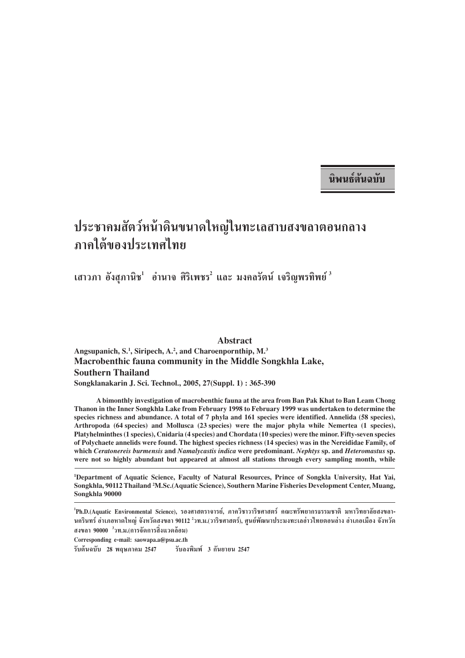ึนิพนธ์์ต้นฉ**า**เัท

# ึประชาคมสัตว์หน้าดินขนาดใหญ่ในทะเลสาบสงขลาตอนกลาง ึฏ<br>ภาคใต้ของประเทศไทย

ี่ เสาวภา อังสุภานิช<sup>!</sup> อำนาจ ศิริเพชร<sup>2</sup> และ มงคลรัตน์ เจริญพรทิพย์<sup> 3</sup>

**Abstract Angsupanich, S.1 , Siripech, A.2 , and Charoenpornthip, M.3 Macrobenthic fauna community in the Middle Songkhla Lake, Southern Thailand Songklanakarin J. Sci. Technol., 2005, 27(Suppl. 1) : 365-390**

**A bimonthly investigation of macrobenthic fauna at the area from Ban Pak Khat to Ban Leam Chong Thanon in the Inner Songkhla Lake from February 1998 to February 1999 was undertaken to determine the species richness and abundance. A total of 7 phyla and 161 species were identified. Annelida (58 species), Arthropoda (64 species) and Mollusca (23 species) were the major phyla while Nemertea (1 species), Platyhelminthes (1 species), Cnidaria (4 species) and Chordata (10 species) were the minor. Fifty-seven species of Polychaete annelids were found. The highest species richness (14 species) was in the Nereididae Family, of which** *Ceratonereis burmensis* **and** *Namalycastis indica* **were predominant.** *Nephtys* **sp. and** *Heteromastus* **sp. were not so highly abundant but appeared at almost all stations through every sampling month, while**

**1 Department of Aquatic Science, Faculty of Natural Resources, Prince of Songkla University, Hat Yai, Songkhla, 90112 Thailand 2 M.Sc.(Aquatic Science), Southern Marine Fisheries Development Center, Muang, Songkhla 90000**

<sup>1</sup>Ph.D.(Aquatic Environmental Science), รองศาสตราจารย์, ภาควิชาวาริชศาสตร์ คณะทรัพยากรธรรมชาติ มหาวิทยาลัยสงขลา-นครินทร์ อำเภอหาดใหญ่ จังหวัดสงขลา 90112 <sup>2</sup>วท.ม.(วาริชศาสตร์), ศูนย์พัฒนาประมงทะเลอ่าวไทยตอนล่าง อำเภอเมือง จังหวัด ิ สงขลา 90000 <sup>3</sup>วท.ม.(การจัดการสิ่งแวดล้อม)

**Corresponding e-mail: saowapa.a@psu.ac.th √—∫µâπ©∫—∫ 28 情¿"§¡ 2547 √—∫≈ßæ'¡æå 3 °—𬓬π 2547**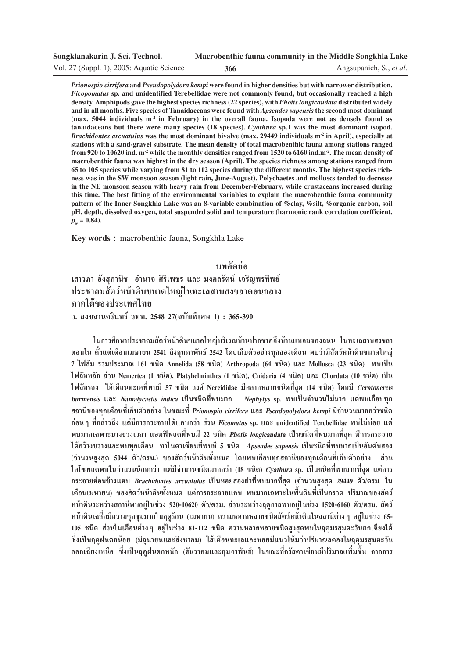| Songklanakarin J. Sci. Technol.           |     | Macrobenthic fauna community in the Middle Songkhla Lake |
|-------------------------------------------|-----|----------------------------------------------------------|
| Vol. 27 (Suppl. 1), 2005: Aquatic Science | 366 | Angsupanich, S., et al.                                  |

*Prionospio cirrifera* **and** *Pseudopolydora kempi* **were found in higher densities but with narrower distribution.** *Ficopomatus* **sp. and unidentified Terebellidae were not commonly found, but occasionally reached a high density. Amphipods gave the highest species richness (22 species), with** *Photis longicaudata* **distributed widely and in all months. Five species of Tanaidaceans were found with** *Apseudes sapensis* **the second most dominant** (max. 5044 individuals m<sup>-2</sup> in February) in the overall fauna. Isopoda were not as densely found as **tanaidaceans but there were many species (18 species).** *Cyathura* **sp.1 was the most dominant isopod.** *Brachidontes arcuatulus* was the most dominant bivalve (max. 29449 individuals m<sup>2</sup> in April), especially at **stations with a sand-gravel substrate. The mean density of total macrobenthic fauna among stations ranged from 920 to 10620 ind. m-2 while the monthly densities ranged from 1520 to 6160 ind.m-2. The mean density of macrobenthic fauna was highest in the dry season (April). The species richness among stations ranged from 65 to 105 species while varying from 81 to 112 species during the different months. The highest species richness was in the SW monsoon season (light rain, June-August). Polychaetes and molluscs tended to decrease in the NE monsoon season with heavy rain from December-February, while crustaceans increased during this time. The best fitting of the environmental variables to explain the macrobenthic fauna community pattern of the Inner Songkhla Lake was an 8-variable combination of %clay, %silt, %organic carbon, soil pH, depth, dissolved oxygen, total suspended solid and temperature (harmonic rank correlation coefficient,**  $\rho_w = 0.84$ .

**Key words :** macrobenthic fauna, Songkhla Lake

ำเทดัดย่ค ี่ เสาวภา อังสภานิช อำนาจ ศิริเพชร และ มงคลรัตน์ เจริญพรทิพย์ ประชาคมสัตว์หน้าดินขนาดให**ญ่ในทะเลสาบสงขลาตอนกลา**ง ภาคใต้ของประเทศไทย

**«. ߢ≈"π§√'π∑√å «∑∑. 2548 27(©∫—∫摇»… 1) : 365-390**

ึ ในการศึกษาประชาคมสัตว์หน้าดินขนาดใหญ่บริเวณบ้านปากขาดถึงบ้านแหลมจองถนน ในทะเลสาบสงขลา ี ตอนใน ตั้งแต่เดือนเมษายน 2541 ถึงกุมภาพันธ์ 2542 โดยเก็บตัวอย่างทุกสองเดือน พบว่ามีสัตว์หน้าดินขนาดใหญ่ 7 ไฟลัม รวมประมาณ 161 **ซนิด Annelida (58 ซนิด) Arthropoda (64 ซนิ**ด) และ Mollusca (23 ซนิด) พบเป็น **‰ø≈—¡À≈—° à«π Nemertea (1 ™π'¥), Platyhelminthes (1 ™π'¥), Cnidaria (4 ™π'¥) ·≈– Chordata (10 ™π'¥) ‡ªìπ ‰ø≈—¡√Õß ‰ ⇥◊Õπ∑–‡≈∑'Ëæ∫¡' 57 ™π'¥ «ß»å Nereididae ¡'À≈"°À≈"¬™π'¥∑'Ë ÿ¥ (14 ™π'¥) '¥¬¡' Ceratonereis burmensis ·≈– Namalycastis indica ‡ªìπ™π'¥∑'Ëæ∫¡"° Nephytys sp. æ∫‡ªìπ®"π«π‰¡à¡"° ·µàæ∫‡°◊Õ∫∑ÿ° ∂"π'¢Õß∑ÿ°‡¥◊Õπ∑'ˇ°Á∫µ—«Õ¬à"ß "π¢≥–∑'Ë Prionospio cirrifera ·≈– Pseudopolydora kempi ¡'®"π«π¡"°°«à"™π'¥** ึก่อน ๆ ที่กล่าวถึง แต่มีการกระจายได้แคบกว่า ส่วน *Ficomatus* sp. และ unidentified Terebellidae พบไม่บ่อย แต่ **æ∫¡"°‡©æ"–∫"ß™à«ß‡«≈" ·Õ¡øîæÕ¥∑'Ëæ∫¡' 22 ™π'¥ Photis longicaudata ‡ªìπ™π'¥∑'Ëæ∫¡"°∑'Ë ÿ¥ ¡'°"√°√–®"¬ ‰¥â°«â"ߢ«"ß·≈–æ∫∑ÿ°‡¥◊Õπ ∑"‰π¥"‡´'¬π∑'Ëæ∫¡' 5 ™π'¥ Apseudes sapensis ‡ªìπ™π'¥∑'Ëæ∫¡"°‡ªìπÕ—π¥—∫ Õß** (จำนวนสงสด 5044 ตัว/ตรม.) ของสัตว์หน้าดินทั้งหมด โดยพบเกือบทกสถานีของทกเดือนที่เก็บตัวอย่าง ส่วน ้ไอโซพอดพบในจำนวนน้อยกว่า แต่มีจำนวนชนิดมากกว่า (18 ชนิด) *Cyathura* sp. เป็นชนิดที่พบมากที่สุด แต่การ ึกระจายค่อนข้างแคบ *Brachidontes arcuatulus* เป็นหอยสองฝาที่พบมากที่สุด (จำนวนสูงสุด 29449 ตัว/ตรม. ใน ้เดือนเมษายน) ของสัตว์หน้าดินทั้งหมด แต่การกระจายแคบ พบมากเฉพาะในพื้นดินที่เป็นกรวด ปริมาณของสัตว์ หน้าดินระหว่างสถานีพบอยู่ในช่วง 920-10620 ตัว/ตรม. ส่วนระหว่างฤดูกาลพบอยู่ในช่วง 1520-6160 ตัว/ตรม. สัตว์ **Àπâ"¥'π‡©≈'ˬ¡'§«"¡™ÿ°™ÿ¡¡"°"πƒ¥Ÿ√âÕπ (‡¡…"¬π) §«"¡À≈"°À≈"¬™π'¥ —µ«åÀπâ"¥'π"π ∂"π'µà"ßÊ Õ¬Ÿà"π™à«ß 65-** 105 **ซนิด ส่วนในเดือนต่าง ๆ อยู่ในช่วง 81-112** ชนิด ความหลากหลายชนิดสูงสุดพบในฤดูมรสุมตะวันตกเฉียงใต้ ์ซึ่งเป็นฤดูฝนตกน้อย (มิถุนายนและสิงหาคม) ใส้เดือนทะเลและหอยมีแนวโน้มว่าปริมาณลดลงในฤดูมรสุมตะวัน ืออกเฉียงเหนือ ซึ่งเป็นถุดฝนตกหนัก (ธันวาคมและกมภาพันธ์) ในขณะที่ครัสตาเซียนมีปริมาณเพิ่มขึ้น จากการ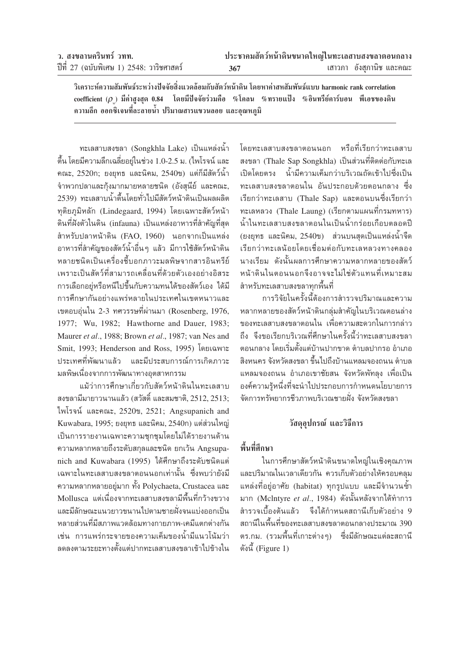|  | ว. สงขลานครินทร์ วทท. |  |                                          |  |
|--|-----------------------|--|------------------------------------------|--|
|  |                       |  | ปีที่ 27 (ฉบับพิเศษ 1) 2548: วาริชศาสตร์ |  |

้วิเคราะห์ความสัมพันธ์ระหว่างปัจจัยสิ่งแวดล้อมกับสัตว์หน้าดิน โดยหาค่าสหสัมพันธ์แบบ harmonic rank correlation  $\text{coefficient}$  ( $\rho$  ) มีค่าสงสด 0.84 โดยมีปัจจัยร่วมคือ %โคลน %ทรายแป้ง %อินทรีย์คาร์บอน พีเอชของดิน ความลึก ออกซิเจนที่ละลายน้ำ ปริมาณสารแขวนลอย และอุณหภูมิ

ทะเลสาบสงขลา (Songkhla Lake) เป็นแหล่งน้ำ ตื้น โดยมีความลึกเฉลี่ยอยู่ในช่วง 1.0-2.5 ม. (ไพโรจน์ และ คณะ, 2520ก; ยงยุทธ และนิคม, 2540ข) แต่ก็มีสัตว์น้ำ จำพวกปลาและก้งมากมายหลายชนิด (อังสนีย์ และคณะ, 2539) ทะเลสาบน้ำตื้นโดยทั่วไปมีสัตว์หน้าดินเป็นผลผลิต ทุติยภูมิหลัก (Lindegaard, 1994) โดยเฉพาะสัตว์หน้า ดินที่ฝังตัวในดิน (infauna) เป็นแหล่งอาหารที่สำคัญที่สด สำหรับปลาหน้าดิน (FAO, 1960) นอกจากเป็นแหล่ง ้อาหารที่สำคัญของสัตว์น้ำอื่น ๆ แล้ว มีการใช้สัตว์หน้าดิน หลายชนิดเป็นเครื่องชื้บอกภาวะมลพิษจากสารอินทรีย์ เพราะเป็นสัตว์ที่สามารถเคลื่อนที่ด้วยตัวเองอย่างอิสระ การเลือกอยู่หรือหนีไปขึ้นกับความทนได้ของสัตว์เอง ได้มี การศึกษากันอย่างแพร่หลายในประเทศในเขตหนาวและ เขตอบอุ่นใน 2-3 ทศวรรษที่ผ่านมา (Rosenberg, 1976, 1977; Wu, 1982; Hawthorne and Dauer, 1983; Maurer et al., 1988; Brown et al., 1987; van Nes and Smit, 1993; Henderson and Ross, 1995) โดยเฉพาะ ประเทศที่พัฒนาแล้ว และมีประสบการณ์การเกิดภาวะ มลพิษเนื่องจากการพัฒนาทางอุตสาหกรรม

้ แม้ว่าการศึกษาเกี่ยวกับสัตว์หน้าดินในทะเลสาบ สงขลามีมายาวนานแล้ว (สวัสดิ์ และสมชาติ, 2512, 2513; ไพโรจน์ และคณะ,  $2520$ ข,  $2521$ ; Angsupanich and Kuwabara, 1995; ยงยุทธ และนิคม, 2540ก) แต่ส่วนใหญ่ เป็นการรายงานเฉพาะความชุกชุมโดยไม่ได้รายงานด้าน ความหลากหลายถึงระดับสกุลและชนิด ยกเว้น Angsupanich and Kuwabara (1995) ได้ศึกษาถึงระดับชนิดแต่ ้เฉพาะในทะเลสาบสงขลาตอนนอกเท่านั้น ซึ่งพบว่ายังมี ความหลากหลายอยู่มาก ทั้ง Polychaeta, Crustacea และ Mollusca แต่เนื่องจากทะเลสาบสงขลามีพื้นที่กว้างขวาง และมีลักษณะแนวยาวขนานไปตามชายฝั่งจนแบ่งออกเป็น หลายส่วนที่มีสภาพแวดล้อมทางกายภาพ-เคมีแตกต่างกัน เช่น การแพร่กระจายของความเค็มของน้ำมีแนวโน้มว่า ลดลงตามระยะทางตั้งแต่ปากทะเลสาบสงขลาเข้าไปข้างใน

โดยทะเลสาบสงขลาตอนนอก หรือที่เรียกว่าทะเลสาบ สงขลา (Thale Sap Songkhla) เป็นส่วนที่ติดต่อกับทะเล ้เปิดโดยตรง น้ำมีความเค็มกว่าบริเวณถัดเข้าไปซึ่งเป็น ทะเลสาบสงขลาตอนใน อันประกอบด้วยตอนกลาง ซึ่ง เรียกว่าทะเลสาบ (Thale Sap) และตอนบนซึ่งเรียกว่า ทะเลหลวง (Thale Laung) (เรียกตามแผนที่กรมทหาร) น้ำในทะเลสาบสงขลาตอนในเป็นน้ำกร่อยเกือบตลอดปี (ยงยุทธ และนิคม, 2540ข) ส่วนบนสุดเป็นแหล่งน้ำจืด เรียกว่าทะเลน้อยโดยเชื่อมต่อกับทะเลหลวงทางคลอง นางเรียม ดังนั้นผลการศึกษาความหลากหลายของสัตว์ หน้าดินในตอนนอกจึงอาจจะไม่ใช่ตัวแทนที่เหมาะสม สำหรับทะเลสาบสงขลาทกพื้นที่

การวิจัยในครั้งนี้ต้องการสำรวจปริมาณและความ หลากหลายของสัตว์หน้าดินกลุ่มสำคัญในบริเวณตอนล่าง ของทะเลสาบสงขลาตอนใน เพื่อความสะดวกในการกล่าว ถึง จึงขอเรียกบริเวณที่ศึกษาในครั้งนี้ว่าทะเลสาบสงขลา ตอนกลาง โดยเริ่มตั้งแต่บ้านปากขาด ตำบลปากรอ อำเภอ สิงหนคร จังหวัดสงขลา ขึ้นไปถึงบ้านแหลมจองถนน ตำบล แหลมจองถนน อำเภอเขาชัยสน จังหวัดพัทลุง เพื่อเป็น องค์ความรู้หนึ่งที่จะนำไปประกอบการกำหนดนโยบายการ จัดการทรัพยากรชีวภาพบริเวณชายฝั่ง จังหวัดสงขลา

# วัสดอปกรณ์ และวิธีการ

# พื้นที่ศึกษา

ในการศึกษาสัตว์หน้าดินขนาดใหญ่ในเชิงคุณภาพ และปริมาณในเวลาเดียวกัน ควรเก็บตัวอย่างให้ครอบคลม แหล่งที่อยู่อาศัย (habitat) ทุกรูปแบบ และมีจำนวนซ้ำ มาก (McIntyre et al., 1984) ดังนั้นหลังจากได้ทำการ ้สำรวจเบื้องต้นแล้ว จึงได้กำหนดสถานีเก็บตัวอย่าง 9 ิสถานีในพื้นที่ของทะเลสาบสงขลาตอนกลางประมาณ 390 ตร.กม. (รวมพื้นที่เกาะต่างๆ) - ซึ่งมีลักษณะแต่ละสถานี ดังนี้ (Figure 1)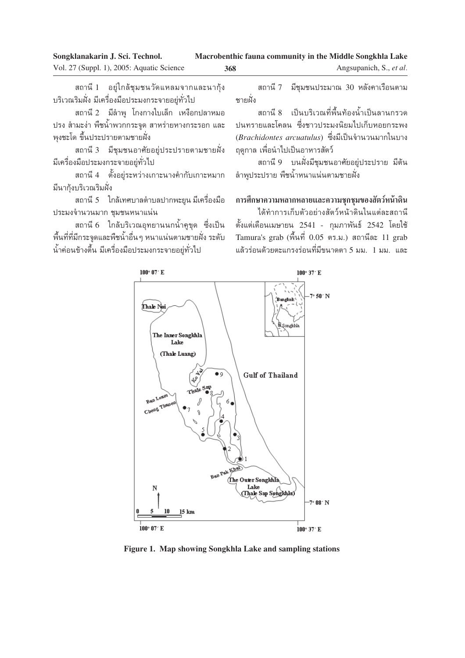ิสถานี 1 อยู่ใกล้ชุมชนวัดแหลมจากและนากุ้ง ้บริเวณริมฝั่ง มีเครื่องมือประมงกระจายอยู่ทั่วไป

ิสถานี 2 มีลำพู โกงกางใบเล็ก เหงือกปลาหมอ ปรง สำมะง่า พืชน้ำพวกกระจูด สาหร่ายหางกระรอก และ พงชะโด ขึ้นประปรายตามชายฝั่ง

ิสถานี 3 มีชุมชนอาศัยอยู่ประปรายตามชายฝั่ง ้มีเครื่องมือประมงกระจายอยู่ทั่วไป

ิสถานี 4 ตั้งอยู่ระหว่างเกาะนางคำกับเกาะหมาก ้มีนาก้งบริเวณริมฝั่ง

ิสถานี 5 ใกล้เทศบาลตำบลปากพะยูน มีเครื่องมือ ประมงจำนวนมาก ชุมชนหนาแน่น

ิสถานี 6 ใกล้บริเวณอุทยานนกน้ำคูขุด ซึ่งเป็น ู้พื้นที่ที่มีกระจุดและพืชน้ำอื่น ๆ หนาแน่นตามชายฝั่ง ระดับ น้ำค่อนข้างตื้น มีเครื่องมือประมงกระจายอยู่ทั่วไป

ิสถานี 7 มีชุมชนประมาณ 30 หลังคาเรือนตาม <sub>ิ</sub>ฑายฝั่ง

ืสถานี 8 เป็นบริเวณที่พื้นท้องน้ำเป็นลานกรวด ปนทรายและโคลน ซึ่งชาวประมงนิยมไปเก็บหอยกระพง (*Brachidontes arcuatulus*) ซึ่งมีเป็นจำนวนมากในบาง ฤดูกาล เพื่อนำไปเป็นอาหารสัตว์

ิสถานี 9 ⊥บนฝั่งมีชุมชนอาศัยอยู่ประปราย มีต้น ล้าพูประปราย พืชน้ำหนาแน่นตามชายฝั่ง

# ึการศึกษาความหลากหลายและความชุกชุมของสัตว์หน้าดิน

ู้ได้ทำการเก็บตัวอย่างสัตว์หน้าดินในแต่ละสถานี ู่ ตั้งแต่เดือนเมษายน 2541 - กุมภาพันธ์ 2542 โดยใช้ Tamura's grab (พื้นที่ 0.05 ตร.ม.) สถานีละ 11 grab แล้วร่อนด้วยตะแกรงร่อนที่มีขนาดตา 5 มม. 1 มม. และ



**Figure 1. Map showing Songkhla Lake and sampling stations**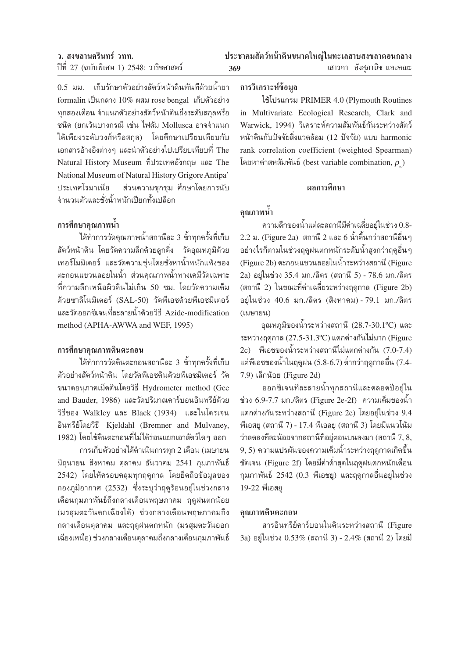$0.5$  มม. แก็บรักษาตัวอย่างสัตว์หน้าดินทันทีด้วยน้ำยา  $f$ ormalin เป็นกลาง  $10\%$  ผสม rose bengal เก็บตัวอย่าง  $\eta$ กสองเดือน จำแนกตัวอย่างสัตว์หน้าดินถึงระดับสกุลหรือ ชนิด (ยกเว้นบางกรณี เช่น ไฟลัม Mollusca อาจจำแนก ู้ได้เพียงระดับวงศ์หรือสกุล) โดยศึกษาเปรียบเทียบกับ ึ เอกสารอ้างอิงต่างๆ และนำตัวอย่างไปเปรียบเทียบที่ The Natural History Museum ที่ประเทศอังกฤษ และ The National Museum of Natural History Grigore Antipa' ประเทศโรมาเนีย ส่วนความชกชม ศึกษาโดยการนับ ึจำนวนตัวและชั่งน้ำหนักเปียกทั้งเปลือก

# ึการศึกษาคุณภาพน้ำ

์ ได้ทำการวัดคุณภาพน้ำสถานีละ 3 ซ้ำทุกครั้งที่เก็บ ีสัตว์หน้าดิน โดยวัดความลึกด้วยลูกดิ่ง วัดอุณหภูมิด้วย เทอร์โมมิเตอร์ และวัดความขุ่นโดยชั่งหาน้ำหนักแห้งของ ้ ตะกอนแขวนลอยในน้ำ ส่วนคณภาพน้ำทางเคมีวัดเฉพาะ ู้ที่ความลึกเหนือผิวดินไม่เกิน 50 ซม. โดยวัดความเค็ม ด้วยซาลิโนมิเตอร์ (SAL-50) วัดพีเอชด้วยพีเอชมิเตอร์ และวัดออกซิเจนที่ละลายน้ำด้วยวิธี Azide-modification method (APHA-AWWA and WEF, 1995)

### **°"√»÷°…"§ÿ≥¿"æ¥'πµ–°Õπ**

 $\,$ ได้ทำการวัดดินตะกอนสถานีละ 3 ซ้ำทุกครั้งที่เก็บ ตัวอย่างสัตว์หน้าดิน โดยวัดพีเอชดินด้วยพีเอชมิเตอร์ วัด ขนาดอนุภาคเม็ดดินโดยวิธี Hydrometer method (Gee and Bauder, 1986) และวัดปริมาณคาร์บอนอินทรีย์ด้วย วิธีของ Walkley และ Black (1934) และไนโตรเจน Õ'π∑√'¬å'¥¬«'∏' Kjeldahl (Bremner and Mulvaney, 1982) โดยใช้ดินตะกอนที่ไม่ได้ร่อนแยกเอาสัตว์ใด ๆ ออก

ำการเก็บตัวอย่างได้ดำเนินการทุก 2 เดือน (เมษายน ี่มิถุนายน สิงหาคม ตุลาคม ธันวาคม 2541 กุมภาพันธ์ 2542) โดยให้ครอบคลุมทุกฤดูกาล โดยยึดถือข้อมูลของ ึกองภูมิอากาศ (2532) ซึ่งระบุว่าฤดูร้อนอยู่ในช่วงกลาง เดือนกุมภาพันธ์ถึงกลางเดือนพฤษภาคม ฤดูฝนตกน้อย (มรสุมตะวันตกเฉียงใต้) ช่วงกลางเดือนพฤษภาคมถึง กลางเดือนตุลาคม และฤดูฝนตกหนัก (มรสุมตะวันออก ู้เฉียงเหนือ) ช่วงกลางเดือนตุลาคมถึงกลางเดือนกุมภาพันธ์

# ึการวิเคราะห์ข้อมูล

ใช้โปรแกรม PRIMER 4.0 (Plymouth Routines in Multivariate Ecological Research, Clark and Warwick, 1994) วิเคราะห์ความสัมพันธ์กันระหว่างสัตว์ หน้าดินกับปัจจัยสิ่งแวดล้อม (12 ปัจจัย) แบบ harmonic rank correlation coefficient (weighted Spearman)  $\overline{\mathbb{R}}$  อยหาค่าสหสัมพันธ์ (best variable combination,  $\rho$ <sub>w</sub>)

### ผลการศึกษา

# ึ คุณภาพน้ำ

 $\,$ ความลึกของน้ำแต่ละสถานีมีค่าเฉลี่ยอยู่ในช่วง $\,0.8 2.2$  ม. (Figure  $2{\rm a})$  สถานี  $2$  และ 6 น้ำตื้นกว่าสถานีอื่น ๆ ้อย่างไรก็ตามในช่วงฤดูฝนตกหนักระดับน้ำสูงกว่าฤดูอื่น ๆ (Figure 2b) ตะกอนแขวนลอยในน้ำระหว่างสถานี (Figure 2a) อยู่ในช่วง 35.4 มก./ลิตร (สถานี 5) - 78.6 มก./ลิตร (สถานี 2) ในขณะที่ค่าเฉลี่ยระหว่างฤดูกาล (Figure 2b) อยู่ในช่วง 40.6 มก./ลิตร (สิงหาคม) - 79.1 มก./ลิตร (เมษายน)

อุณหภูมิของน้ำระหว่างสถานี  $(28.7-30.1^{\circ}\text{C})$  และ ระหว่างฤดูกาล (27.5-31.3°C) แตกต่างกันไม่มาก (Figure 2c) พีเอชของน้ำระหว่างสถานีไม่แตกต่างกัน (7.0-7.4) uต่พีเอชของน้ำในฤดูฝน (5.8-6.7) ต่ำกว่าฤดูกาลอื่น (7.4-7.9) เล็กน้อย (Figure 2d)

ืออกซิเจนที่ละลายน้ำทุกสถานีและตลอดปีอยู่ใน ช่วง 6.9-7.7 มก./ลิตร (Figure 2e-2f) ความเค็มของน้ำ แตกต่างกันระหว่างสถานี (Figure 2e) โดยอยู่ในช่วง 9.4 พีเอสยู (สถานี 7) - 17.4 พีเอสยู (สถานี 3) โดยมีแนวโน้ม ว่าลดลงทีละน้อยจากสถานีที่อยู่ตอนบนลงมา (สถานี  $7, 8,$  $(9, 5)$  ความแปรผันของความเค็มน้ำระหว่างฤดูกาลเกิดขึ้น ชัดเจน (Figure 2f) โดยมีค่าต่ำสุดในฤดูฝนตกหนักเดือน ึกุมภาพันธ์ 2542 (0.3 พีเอชยู) และฤดูกาลอื่นอยู่ในช่วง 19-22 พีเอสยู

### **§ÿ≥¿"æ¥'πµ–°Õπ**

สารอินทรีย์คาร์บอนในดินระหว่างสถานี (Figure 3a) อยู่ในช่วง  $0.53\%$  (สถานี 3) - 2.4% (สถานี 2) โดยมี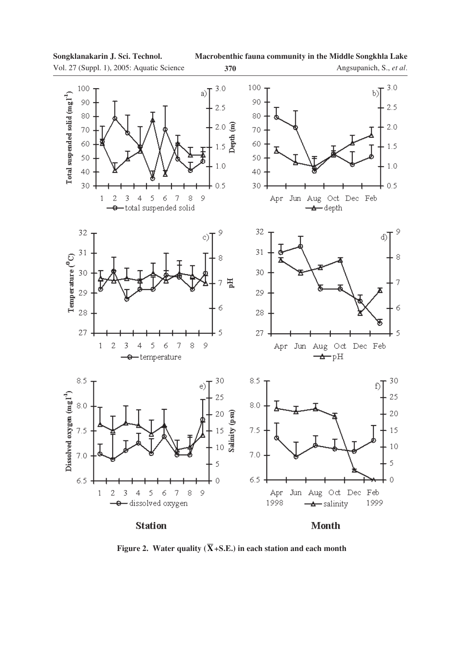**Macrobenthic fauna community in the Middle Songkhla Lake**

Vol. 27 (Suppl. 1), 2005: Aquatic Science **370**





**Figure 2.** Water quality  $(\overline{X} + S.E.)$  in each station and each month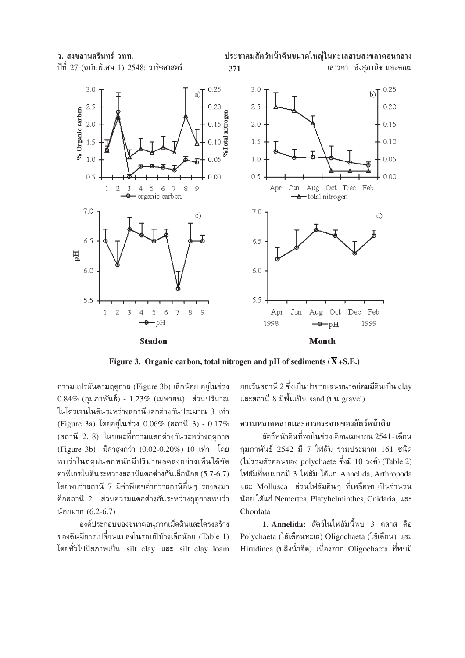

Figure 3. Organic carbon, total nitrogen and pH of sediments ( $\overline{X}$ +S.E.)

ความแปรผันตามฤดูกาล (Figure 3b) เล็กน้อย อยู่ในช่วง  $0.84\%$  (กมภาพันธ์) -  $1.23\%$  (เมษายน) ส่วนปริมาณ ในโตรเจนในดินระหว่างสถานีแตกต่างกันประมาณ 3 เท่า (Figure 3a) โดยอยู่ในช่วง 0.06% (สถานี 3) - 0.17% (สถานี 2, 8) ในขณะที่ความแตกต่างกันระหว่างฤดูกาล (Figure 3b) มีค่าสูงกว่า (0.02-0.20%) 10 เท่า โดย พบว่าในถดฝนตกหนักมีปริมาณลดลงอย่างเห็นได้ชัด ค่าพีเอชในดินระหว่างสถานีแตกต่างกันเล็กน้อย (5.7-6.7) โดยพบว่าสถานี 7 มีค่าพีเอชต่ำกว่าสถานีอื่นๆ รองลงมา คือสถานี 2 ส่วนความแตกต่างกันระหว่างฤดูกาลพบว่า น้อยมาก (6.2-6.7)

้องค์ประกอบของขนาดอนภาคเม็ดดินและโครงสร้าง ของดินมีการเปลี่ยนแปลงในรอบปีบ้างเล็กน้อย (Table 1) โดยทั่วไปมีสภาพเป็น silt clay และ silt clay loam ียกเว้นสถานี 2 ซึ่งเป็นป่าชายเลนขนาดย่อมมีดินเป็น clav และสถานี 8 มีพื้นเป็น sand (ปน gravel)

## ์ดวามหลากหลายและการกระจายของสัตว์หน้าดิน

สัตว์หน้าดินที่พบในช่วงเดือนเมษายน 2541 - เดือน กุมภาพันธ์ 2542 มี 7 ไฟลัม รวมประมาณ 161 ชนิด (ไม่รวมตัวอ่อนของ polychaete ซึ่งมี 10 วงศ์) (Table 2) ไฟลัมที่พบมากมี 3 ไฟลัม ได้แก่ Annelida, Arthropoda และ Mollusca ส่วนไฟลัมอื่นๆ ที่เหลือพบเป็นจำนวน น้อย ได้แก่ Nemertea, Platyhelminthes, Cnidaria, และ Chordata

1. Annelida: สัตว์ในไฟลัมนี้พบ 3 คลาส คือ Polychaeta (ไส้เดือนทะเล) Oligochaeta (ไส้เดือน) และ Hirudinea (ปลิงน้ำจืด) เนื่องจาก Oligochaeta ที่พบมี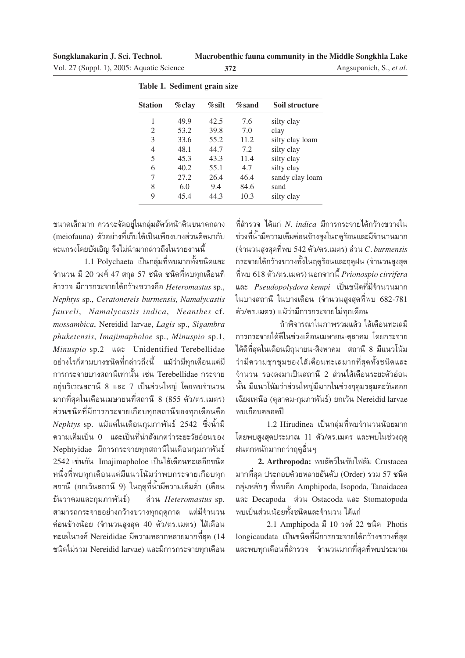Macrobenthic fauna community in the Middle Songkhla Lake

Angsupanich, S., et al.

| Vol. 27 (Suppl. 1), 2005: Aquatic Science |  |  |  |  |
|-------------------------------------------|--|--|--|--|
|-------------------------------------------|--|--|--|--|

|                | Table 1. Sediment grain size |           |           |                 |  |  |  |  |  |  |  |
|----------------|------------------------------|-----------|-----------|-----------------|--|--|--|--|--|--|--|
| <b>Station</b> | %clay                        | $\%$ silt | $\%$ sand | Soil structure  |  |  |  |  |  |  |  |
| 1              | 49.9                         | 42.5      | 7.6       | silty clay      |  |  |  |  |  |  |  |
| 2              | 53.2                         | 39.8      | 7.0       | clay            |  |  |  |  |  |  |  |
| 3              | 33.6                         | 55.2      | 11.2      | silty clay loam |  |  |  |  |  |  |  |
| 4              | 48.1                         | 44.7      | 7.2       | silty clay      |  |  |  |  |  |  |  |
| 5              | 45.3                         | 43.3      | 11.4      | silty clay      |  |  |  |  |  |  |  |
| 6              | 40.2                         | 55.1      | 4.7       | silty clay      |  |  |  |  |  |  |  |
| 7              | 27.2                         | 26.4      | 46.4      | sandy clay loam |  |  |  |  |  |  |  |
| 8              | 6.0                          | 9.4       | 84.6      | sand            |  |  |  |  |  |  |  |
| 9              | 45.4                         | 44.3      | 10.3      | silty clay      |  |  |  |  |  |  |  |

372

 $\mathbf{L}$ j.  $\ddot{\phantom{a}}$ T.

ขนาดเล็กมาก ควรจะจัดอยู่ในกลุ่มสัตว์หน้าดินขนาดกลาง (meiofauna) ตัวอย่างที่เก็บได้เป็นเพียงบางส่วนติดมากับ ็ตะแกรงโดยบังเอิญ จึงไม่นำมากล่าวถึงในรายงานนี้

1.1 Polychaeta เป็นกลุ่มที่พบมากทั้งชนิดและ จำนวน มี 20 วงศ์ 47 สกุล 57 ชนิด ชนิดที่พบทุกเดือนที่ ้สำรวจ มีการกระจายได้กว้างขวางคือ Heteromastus sp., Nephtys sp., Ceratonereis burmensis, Namalycastis fauveli, Namalycastis indica, Neanthes cf. mossambica, Nereidid larvae, Lagis sp., Sigambra phuketensis, Imajimapholoe sp., Minuspio sp.1, Minuspio sp.2 และ Unidentified Terebellidae ้อย่างไรก็ตามบางชนิดที่กล่าวถึงนี้ แม้ว่ามีทกเดือนแต่มี การกระจายบางสถานีเท่านั้น เช่น Terebellidae กระจาย อยู่บริเวณสถานี 8 และ 7 เป็นส่วนใหญ่ โดยพบจำนวน มากที่สดในเดือนเมษายนที่สถานี 8 (855 ตัว/ตร.เมตร) ส่วนชนิดที่มีการกระจายเกือบทุกสถานีของทุกเดือนคือ Nephtys sp. แม้แต่ในเดือนกุมภาพันธ์ 2542 ซึ่งน้ำมี ี ความเค็มเป็น 0 และเป็นที่น่าสังเกตว่าระยะวัยอ่อนของ Nephtyidae มีการกระจายทุกสถานีในเดือนกุมภาพันธ์ 2542 เช่นกัน Imajimapholoe เป็นไส้เดือนทะเลอีกชนิด หนึ่งที่พบทุกเดือนแต่มีแนวโน้มว่าพบกระจายเกือบทุก ิสถานี (ยกเว้นสถานี 9) ในฤดูที่น้ำมีความเค็มต่ำ (เดือน ธันวาคมและกุมภาพันธ์) ส่วน Heteromastus sp. สามารถกระจายอย่างกว้างขวางทุกฤดูกาล แต่มีจำนวน ค่อนข้างน้อย (จำนวนสูงสุด 40 ตัว/ตร.เมตร) ไส้เดือน ทะเลในวงศ์ Nereididae มีความหลากหลายมากที่สุด (14 ชนิดไม่รวม Nereidid larvae) และมีการกระจายทุกเดือน

ที่สำรวจ ได้แก่ *N. indica* มีการกระจายได้กว้างขวางใน ช่วงที่น้ำมีความเค็มค่อนข้างสูงในฤดูร้อนและมีจำนวนมาก (จำนวนสูงสุดที่พบ 542 ตัว/ตร.เมตร) ส่วน  $C$ . burmensis ้กระจายได้กว้างขวางทั้งในฤดูร้อนและฤดูฝน (จำนวนสูงสุด ที่พบ 618 ตัว/ตร.เมตร) นอกจากนี้  $Prionospio\ cirrifera$ และ Pseudopolydora kempi เป็นชนิดที่มีจำนวนมาก ในบางสถานี ในบางเดือน (จำนวนสูงสุดที่พบ 682-781 ตัว/ตร.เมตร) แม้ว่ามีการกระจายไม่ทุกเดือน

ถ้าพิจารณาในภาพรวมแล้ว ไส้เดือนทะเลมี การกระจายได้ดีในช่วงเดือนเมษายน-ตุลาคม โดยกระจาย ได้ดีที่สุดในเดือนมิถุนายน-สิงหาคม สถานี 8 มีแนวโน้ม ว่ามีความชุกชุมของไส้เดือนทะเลมากที่สุดทั้งชนิดและ จำนวน รองลงมาเป็นสถานี 2 ส่วนไส้เดือนระยะตัวอ่อน นั้น มีแนวโน้มว่าส่วนใหญ่มีมากในช่วงฤดูมรสุมตะวันออก เฉียงเหนือ (ตุลาคม-กุมภาพันธ์) ยกเว้น Nereidid larvae พบเกือบตลอดปี

1.2 Hirudinea เป็นกลุ่มที่พบจำนวนน้อยมาก โดยพบสูงสุดประมาณ 11 ตัว/ตร.เมตร และพบในช่วงฤดู ่ ฝนตกหนักมากกว่าถุดอื่น ๆ

2. Arthropoda: พบสัตว์ในซับไฟลัม Crustacea มากที่สุด ประกอบด้วยหลายอันดับ (Order) รวม 57 ชนิด กลุ่มหลักๆ ที่พบคือ Amphipoda, Isopoda, Tanaidacea และ Decapoda ส่วน Ostacoda และ Stomatopoda ้พบเป็นส่วนน้อยทั้งชนิดและจำนวน ได้แก่

2.1 Amphipoda มี 10 วงศ์ 22 ชนิด Photis longicaudata เป็นชนิดที่มีการกระจายได้กว้างขวางที่สุด และพบทุกเดือนที่สำรวจ จำนวนมากที่สุดที่พบประมาณ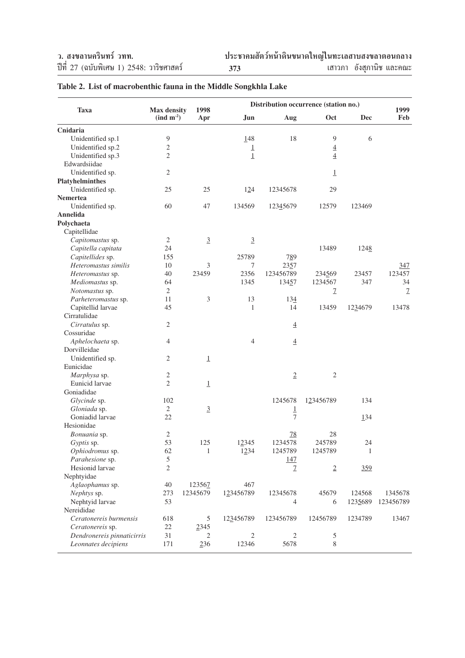| <b>Taxa</b>                | <b>Max density</b>             | 1998                     |                         | Distribution occurrence (station no.) |                   |         | 1999          |
|----------------------------|--------------------------------|--------------------------|-------------------------|---------------------------------------|-------------------|---------|---------------|
|                            | $\left(\text{ind } m^2\right)$ | Apr                      | <b>Jun</b>              | Aug                                   | Oct               | Dec     | Feb           |
| Cnidaria                   |                                |                          |                         |                                       |                   |         |               |
| Unidentified sp.1          | 9                              |                          | 148                     | 18                                    | 9                 | 6       |               |
| Unidentified sp.2          | $\sqrt{2}$                     |                          | $\overline{\mathbf{1}}$ |                                       | $\underline{4}$   |         |               |
| Unidentified sp.3          | $\mathbf{2}$                   |                          | $\underline{1}$         |                                       | $\underline{4}$   |         |               |
| Edwardsiidae               |                                |                          |                         |                                       |                   |         |               |
| Unidentified sp.           | $\mathbf{2}$                   |                          |                         |                                       | $\perp$           |         |               |
| <b>Platyhelminthes</b>     |                                |                          |                         |                                       |                   |         |               |
| Unidentified sp.           | 25                             | 25                       | 124                     | 12345678                              | 29                |         |               |
| Nemertea                   |                                |                          |                         |                                       |                   |         |               |
| Unidentified sp.           | 60                             | 47                       | 134569                  | 12345679                              | 12579             | 123469  |               |
| Annelida                   |                                |                          |                         |                                       |                   |         |               |
| Polychaeta                 |                                |                          |                         |                                       |                   |         |               |
| Capitellidae               |                                |                          |                         |                                       |                   |         |               |
| Capitomastus sp.           | $\mathfrak{2}$                 | $\mathbf{\underline{3}}$ | $\underline{3}$         |                                       |                   |         |               |
| Capitella capitata         | 24                             |                          |                         |                                       | 13489             | 1248    |               |
| Capitellides sp.           | 155                            |                          | 25789                   | 789                                   |                   |         |               |
| Heteromastus similis       | 10                             | 3                        | 7                       | 2357                                  |                   |         | 347           |
|                            | 40                             | 23459                    | 2356                    | 123456789                             |                   | 23457   | 123457        |
| Heteromastus sp.           |                                |                          |                         |                                       | 234569<br>1234567 |         |               |
| Mediomastus sp.            | 64<br>$\mathbf{2}$             |                          | 1345                    | 13457                                 |                   | 347     | 34            |
| Notomastus sp.             |                                |                          |                         |                                       | 7                 |         | $\mathcal{I}$ |
| Parheteromastus sp.        | 11                             | 3                        | 13                      | 134                                   |                   |         |               |
| Capitellid larvae          | 45                             |                          | 1                       | 14                                    | 13459             | 1234679 | 13478         |
| Cirratulidae               |                                |                          |                         |                                       |                   |         |               |
| Cirratulus sp.             | $\mathfrak{2}$                 |                          |                         | $\underline{4}$                       |                   |         |               |
| Cossuridae                 |                                |                          |                         |                                       |                   |         |               |
| Aphelochaeta sp.           | $\overline{4}$                 |                          | $\overline{4}$          | $\underline{4}$                       |                   |         |               |
| Dorvilleidae               |                                |                          |                         |                                       |                   |         |               |
| Unidentified sp.           | $\overline{2}$                 | $\perp$                  |                         |                                       |                   |         |               |
| Eunicidae                  |                                |                          |                         |                                       |                   |         |               |
| Marphysa sp.               | $\mathfrak{2}$                 |                          |                         | $\underline{2}$                       | $\mathfrak{2}$    |         |               |
| Eunicid larvae             | $\mathbf{2}$                   | $\mathbf 1$              |                         |                                       |                   |         |               |
| Goniadidae                 |                                |                          |                         |                                       |                   |         |               |
| Glycinde sp.               | 102                            |                          |                         | 1245678                               | 123456789         | 134     |               |
| Gloniada sp.               | $\overline{2}$                 | $\underline{3}$          |                         | $\overline{1}$                        |                   |         |               |
| Goniadid larvae            | 22                             |                          |                         | 7                                     |                   | 134     |               |
| Hesionidae                 |                                |                          |                         |                                       |                   |         |               |
| Bonuania sp.               | $\sqrt{2}$                     |                          |                         | 78                                    | 28                |         |               |
| Gyptis sp.                 | 53                             | 125                      | 12345                   | 1234578                               | 245789            | 24      |               |
| Ophiodromus sp.            | 62                             | $\mathbf{1}$             | 1234                    | 1245789                               | 1245789           | 1       |               |
| Parahesione sp.            | $\sqrt{5}$                     |                          |                         | <u>147</u>                            |                   |         |               |
| Hesionid larvae            | $\overline{2}$                 |                          |                         | 7                                     | $\underline{2}$   | 359     |               |
| Nephtyidae                 |                                |                          |                         |                                       |                   |         |               |
| Aglaophamus sp.            | 40                             | 123567                   | 467                     |                                       |                   |         |               |
| Nephtys sp.                | 273                            | 12345679                 | 123456789               | 12345678                              | 45679             | 124568  | 1345678       |
| Nephtyid larvae            | 53                             |                          |                         | 4                                     | 6                 | 1235689 | 123456789     |
| Nereididae                 |                                |                          |                         |                                       |                   |         |               |
| Ceratonereis burmensis     | 618                            | 5                        | 123456789               | 123456789                             | 12456789          | 1234789 | 13467         |
| Ceratonereis sp.           | $22\,$                         | 2345                     |                         |                                       |                   |         |               |
| Dendronereis pinnaticirris | 31                             | 2                        | 2                       | 2                                     | $\mathfrak s$     |         |               |
| Leonnates decipiens        | 171                            | 236                      | 12346                   | 5678                                  | 8                 |         |               |

# **Table 2. List of macrobenthic fauna in the Middle Songkhla Lake**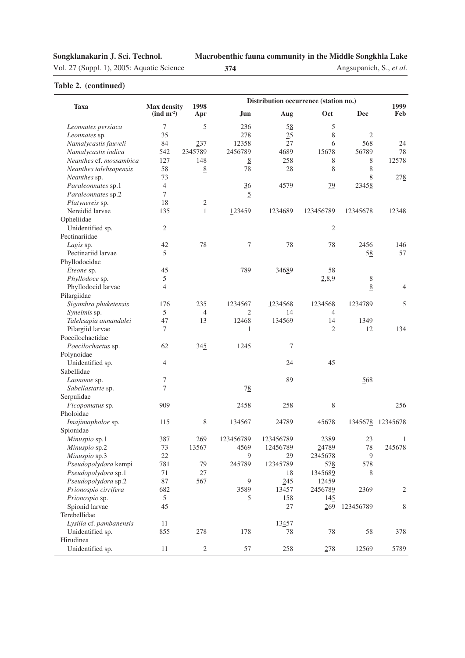Vol. 27 (Suppl. 1), 2005: Aquatic Science **374**

**Macrobenthic fauna community in the Middle Songkhla Lake**

Angsupanich, S., *et al.*

|                         |                                                         |                 | Distribution occurrence (station no.) |           |                |                |                  |
|-------------------------|---------------------------------------------------------|-----------------|---------------------------------------|-----------|----------------|----------------|------------------|
| <b>Taxa</b>             | <b>Max density</b><br>$\left(\text{ind } m^{-2}\right)$ | 1998<br>Apr     | Jun.                                  | Aug       | Oct            | <b>Dec</b>     | 1999<br>Feb      |
| Leonnates persiaca      | $\overline{7}$                                          | $\mathfrak{S}$  | 236                                   | 58        | 5              |                |                  |
| Leonnates sp.           | 35                                                      |                 | 278                                   | 25        | 8              | $\overline{2}$ |                  |
| Namalycastis fauveli    | 84                                                      | 237             | 12358                                 | 27        | 6              | 568            | 24               |
| Namalycastis indica     | 542                                                     | 2345789         | 2456789                               | 4689      | 15678          | 56789          | 78               |
| Neanthes cf. mossambica | 127                                                     | 148             | $\underline{8}$                       | 258       | 8              | 8              | 12578            |
| Neanthes talehsapensis  | 58                                                      | 8               | 78                                    | 28        | 8              | 8              |                  |
| Neanthes sp.            | 73                                                      |                 |                                       |           |                | 8              | 278              |
| Paraleonnates sp.1      | $\overline{4}$                                          |                 | $\frac{36}{5}$                        | 4579      | 79             | 23458          |                  |
| Paraleonnates sp.2      | $\tau$                                                  |                 | 5                                     |           |                |                |                  |
| Platynereis sp.         | 18                                                      | $\underline{2}$ |                                       |           |                |                |                  |
| Nereidid larvae         | 135                                                     | 1               | 123459                                | 1234689   | 123456789      | 12345678       | 12348            |
| Opheliidae              |                                                         |                 |                                       |           |                |                |                  |
| Unidentified sp.        | $\mathbf{2}$                                            |                 |                                       |           | $\overline{2}$ |                |                  |
| Pectinariidae           |                                                         |                 |                                       |           |                |                |                  |
| Lagis sp.               | 42                                                      | 78              | 7                                     | 78        | 78             | 2456           | 146              |
| Pectinariid larvae      | 5                                                       |                 |                                       |           |                | 58             | 57               |
| Phyllodocidae           |                                                         |                 |                                       |           |                |                |                  |
| Eteone sp.              | 45                                                      |                 | 789                                   | 34689     | 58             |                |                  |
| Phyllodoce sp.          | 5                                                       |                 |                                       |           | 2,8,9          | 8              |                  |
| Phyllodocid larvae      | $\overline{4}$                                          |                 |                                       |           |                | 8              | $\overline{4}$   |
| Pilargiidae             |                                                         |                 |                                       |           |                |                |                  |
| Sigambra phuketensis    | 176                                                     | 235             | 1234567                               | 1234568   | 1234568        | 1234789        | 5                |
| Synelmis sp.            | 5                                                       | $\overline{4}$  | 2                                     | 14        | 4              |                |                  |
| Talehsapia annandalei   | 47                                                      | 13              | 12468                                 | 134569    | 14             | 1349           |                  |
| Pilargiid larvae        | $\tau$                                                  |                 | 1                                     |           | $\overline{2}$ | 12             | 134              |
| Poecilochaetidae        |                                                         |                 |                                       |           |                |                |                  |
| Poecilochaetus sp.      | 62                                                      | 345             | 1245                                  | 7         |                |                |                  |
| Polynoidae              |                                                         |                 |                                       |           |                |                |                  |
| Unidentified sp.        | $\overline{4}$                                          |                 |                                       | 24        | 45             |                |                  |
| Sabellidae              |                                                         |                 |                                       |           |                |                |                  |
| Laonome sp.             | 7                                                       |                 |                                       | 89        |                | 568            |                  |
| Sabellastarte sp.       | 7                                                       |                 | $7\underline{8}$                      |           |                |                |                  |
| Serpulidae              |                                                         |                 |                                       |           |                |                |                  |
| Ficopomatus sp.         | 909                                                     |                 | 2458                                  | 258       | 8              |                | 256              |
| Pholoidae               |                                                         |                 |                                       |           |                |                |                  |
| Imajimapholoe sp.       | 115                                                     | 8               | 134567                                | 24789     | 45678          |                | 1345678 12345678 |
| Spionidae               |                                                         |                 |                                       |           |                |                |                  |
| Minuspio sp.1           | 387                                                     | 269             | 123456789                             | 123456789 | 2389           | 23             | 1                |
| Minuspio sp.2           | 73                                                      | 13567           | 4569                                  | 12456789  | 24789          | 78             | 245678           |
| Minuspio sp.3           | 22                                                      |                 | 9                                     | 29        | 2345678        | 9              |                  |
| Pseudopolydora kempi    | 781                                                     | 79              | 245789                                | 12345789  | 578            | 578            |                  |
| Pseudopolydora sp.1     | 71                                                      | 27              |                                       | 18        | 1345689        | 8              |                  |
| Pseudopolydora sp.2     | 87                                                      | 567             | 9                                     | 245       | 12459          |                |                  |
| Prionospio cirrifera    | 682                                                     |                 | 3589                                  | 13457     | 2456789        | 2369           | $\overline{c}$   |
| Prionospio sp.          | $\mathfrak s$                                           |                 | 5                                     | 158       | 145            |                |                  |
| Spionid larvae          | 45                                                      |                 |                                       | 27        | 269            | 123456789      | 8                |
| Terebellidae            |                                                         |                 |                                       |           |                |                |                  |
| Lysilla cf. pambanensis | 11                                                      |                 |                                       | 13457     |                |                |                  |
| Unidentified sp.        | 855                                                     | 278             | 178                                   | 78        | 78             | 58             | 378              |
| Hirudinea               |                                                         |                 |                                       |           |                |                |                  |
| Unidentified sp.        | 11                                                      | $\sqrt{2}$      | 57                                    | 258       | 278            | 12569          | 5789             |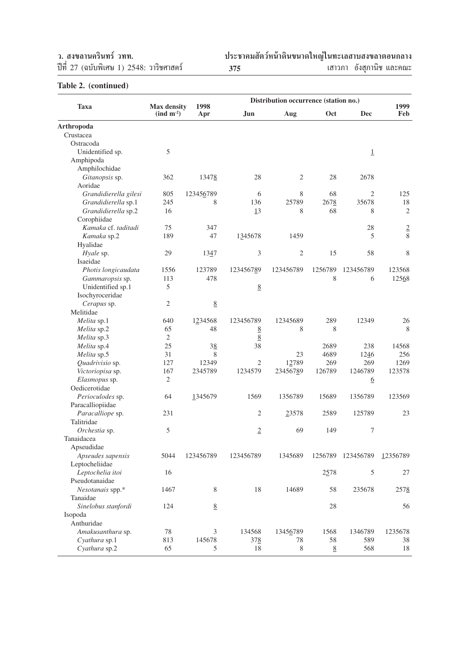ึว. สงขลานครินทร์ วทท.<br>ปีที่ 27 (ฉบับพิเศษ 1) 2548: วาริชศาสตร์

ªï∑'Ë 27 (©∫—∫摇»… 1) 2548: «"√'™»" µ√å **ª√–™"§¡ —µ«åÀπâ"¥'π¢π"¥"À≠à"π∑–‡≈ "∫ ߢ≈"µÕπ°≈"ß <sup>375</sup>** ‡ "«¿" Õ—ß ÿ¿"π'™ ·≈–§≥–

|                       |                                                      |                 | Distribution occurrence (station no.) |                |                 |                 |                |
|-----------------------|------------------------------------------------------|-----------------|---------------------------------------|----------------|-----------------|-----------------|----------------|
| <b>Taxa</b>           | <b>Max density</b><br>$\left(\text{ind } m^2\right)$ | 1998<br>Apr     | <b>Jun</b>                            | Aug            | Oct             | <b>Dec</b>      | 1999<br>Feb    |
| Arthropoda            |                                                      |                 |                                       |                |                 |                 |                |
| Crustacea             |                                                      |                 |                                       |                |                 |                 |                |
| Ostracoda             |                                                      |                 |                                       |                |                 |                 |                |
| Unidentified sp.      | 5                                                    |                 |                                       |                |                 | $\underline{1}$ |                |
| Amphipoda             |                                                      |                 |                                       |                |                 |                 |                |
| Amphilochidae         |                                                      |                 |                                       |                |                 |                 |                |
| Gitanopsis sp.        | 362                                                  | 13478           | 28                                    | $\mathfrak{2}$ | 28              | 2678            |                |
| Aoridae               |                                                      |                 |                                       |                |                 |                 |                |
| Grandidierella gilesi | 805                                                  | 123456789       | 6                                     | 8              | 68              | $\mathfrak{2}$  | 125            |
| Grandidierella sp.1   | 245                                                  | 8               | 136                                   | 25789          | 2678            | 35678           | 18             |
| Grandidierella sp.2   | 16                                                   |                 | 13                                    | 8              | 68              | 8               | $\overline{2}$ |
| Corophiidae           |                                                      |                 |                                       |                |                 |                 |                |
| Kamaka cf. taditadi   | 75                                                   | 347             |                                       |                |                 | 28              | $\overline{2}$ |
| Kamaka sp.2           | 189                                                  | 47              | 1345678                               | 1459           |                 | 5               | 8              |
| Hyalidae              |                                                      |                 |                                       |                |                 |                 |                |
| Hyale sp.             | 29                                                   | 1347            | 3                                     | $\mathfrak{2}$ | 15              | 58              | 8              |
| Isaeidae              |                                                      |                 |                                       |                |                 |                 |                |
| Photis longicaudata   | 1556                                                 | 123789          | 123456789                             | 123456789      | 1256789         | 123456789       | 123568         |
| Gammaropsis sp.       | 113                                                  | 478             |                                       |                | 8               | 6               | 12568          |
| Unidentified sp.1     | 5                                                    |                 | $\underline{8}$                       |                |                 |                 |                |
| Isochyroceridae       |                                                      |                 |                                       |                |                 |                 |                |
| Cerapus sp.           | $\mathbf{2}$                                         | $\underline{8}$ |                                       |                |                 |                 |                |
| Melitidae             |                                                      |                 |                                       |                |                 |                 |                |
| Melita sp.1           | 640                                                  | 1234568         | 123456789                             | 12345689       | 289             | 12349           | 26             |
| Melita sp.2           | 65                                                   | 48              | 8                                     | 8              | 8               |                 | 8              |
| Melita sp.3           | $\mathbf{2}$                                         |                 | 8                                     |                |                 |                 |                |
| Melita sp.4           | 25                                                   | 38              | 38                                    |                | 2689            | 238             | 14568          |
| Melita sp.5           | 31                                                   | 8               |                                       | 23             | 4689            | 1246            | 256            |
| Quadrivisio sp.       | 127                                                  | 12349           | $\mathfrak{2}$                        | 12789          | 269             | 269             | 1269           |
| Victoriopisa sp.      | 167                                                  | 2345789         | 1234579                               | 23456789       | 126789          | 1246789         | 123578         |
| Elasmopus sp.         | $\mathfrak{2}$                                       |                 |                                       |                |                 | <u>6</u>        |                |
| Oedicerotidae         |                                                      |                 |                                       |                |                 |                 |                |
| Perioculodes sp.      | 64                                                   | 1345679         | 1569                                  | 1356789        | 15689           | 1356789         | 123569         |
| Paracalliopiidae      |                                                      |                 |                                       |                |                 |                 |                |
| Paracalliope sp.      | 231                                                  |                 | $\mathfrak{2}$                        | 23578          | 2589            | 125789          | 23             |
| Talitridae            |                                                      |                 |                                       |                |                 |                 |                |
| Orchestia sp.         | 5                                                    |                 | $\overline{2}$                        | 69             | 149             | 7               |                |
| Tanaidacea            |                                                      |                 |                                       |                |                 |                 |                |
| Apseudidae            |                                                      |                 |                                       |                |                 |                 |                |
| Apseudes sapensis     | 5044                                                 | 123456789       | 123456789                             | 1345689        | 1256789         | 123456789       | 12356789       |
| Leptocheliidae        |                                                      |                 |                                       |                |                 |                 |                |
| Leptochelia itoi      | 16                                                   |                 |                                       |                | 2578            | 5               | 27             |
| Pseudotanaidae        |                                                      |                 |                                       |                |                 |                 |                |
| Nesotanais spp.*      | 1467                                                 | 8               | 18                                    | 14689          | 58              | 235678          | 2578           |
| Tanaidae              |                                                      |                 |                                       |                |                 |                 |                |
| Sinelobus stanfordi   | 124                                                  | $\underline{8}$ |                                       |                | 28              |                 | 56             |
| Isopoda               |                                                      |                 |                                       |                |                 |                 |                |
| Anthuridae            |                                                      |                 |                                       |                |                 |                 |                |
| Amakusanthura sp.     | 78                                                   | 3               | 134568                                | 13456789       | 1568            | 1346789         | 1235678        |
| Cyathura sp.1         | 813                                                  | 145678          | 378                                   | 78             | 58              | 589             | 38             |
| Cyathura sp.2         | 65                                                   | 5               | 18                                    | 8              | $\underline{8}$ | 568             | 18             |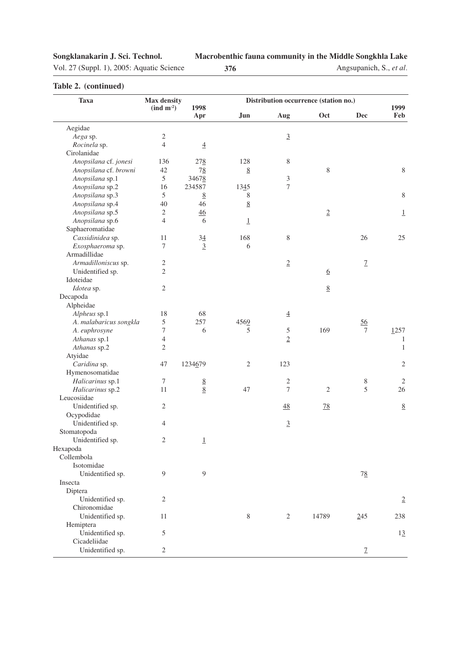#### **Macrobenthic fauna community in the Middle Songkhla Lake**

Vol. 27 (Suppl. 1), 2005: Aquatic Science **376**

Angsupanich, S., *et al.*

| <b>Taxa</b>            | Max density                    |                 |                 | Distribution occurrence (station no.) |                 |                  |                 |
|------------------------|--------------------------------|-----------------|-----------------|---------------------------------------|-----------------|------------------|-----------------|
|                        | $\left(\text{ind } m^2\right)$ | 1998<br>Apr     | Jun             | Aug                                   | Oct             | Dec              | 1999<br>Feb     |
| Aegidae                |                                |                 |                 |                                       |                 |                  |                 |
| Aega sp.               | $\sqrt{2}$                     |                 |                 | $\underline{3}$                       |                 |                  |                 |
| Rocinela sp.           | $\overline{4}$                 | $\overline{4}$  |                 |                                       |                 |                  |                 |
| Cirolanidae            |                                |                 |                 |                                       |                 |                  |                 |
| Anopsilana cf. jonesi  | 136                            | 278             | 128             | 8                                     |                 |                  |                 |
| Anopsilana cf. browni  | 42                             | 78              | 8               |                                       | 8               |                  | $\,$ 8 $\,$     |
| Anopsilana sp.1        | 5                              | 34678           |                 | $\mathfrak{Z}$                        |                 |                  |                 |
| Anopsilana sp.2        | 16                             | 234587          | 1345            | $\tau$                                |                 |                  |                 |
| Anopsilana sp.3        | 5                              | 8               | 8               |                                       |                 |                  | $\,8\,$         |
| Anopsilana sp.4        | 40                             | 46              | 8               |                                       |                 |                  |                 |
| Anopsilana sp.5        | 2                              | 46              |                 |                                       | $\overline{2}$  |                  | $\overline{1}$  |
| Anopsilana sp.6        | $\overline{4}$                 | 6               | $\underline{1}$ |                                       |                 |                  |                 |
| Saphaeromatidae        |                                |                 |                 |                                       |                 |                  |                 |
| Cassidinidea sp.       | 11                             | $34\,$          | 168             | 8                                     |                 | 26               | 25              |
| Exosphaeroma sp.       | 7                              | $\overline{3}$  | 6               |                                       |                 |                  |                 |
| Armadillidae           |                                |                 |                 |                                       |                 |                  |                 |
| Armadilloniscus sp.    | $\sqrt{2}$                     |                 |                 | $\underline{2}$                       |                 | $\mathcal{I}$    |                 |
| Unidentified sp.       | $\mathfrak{2}$                 |                 |                 |                                       | $\underline{6}$ |                  |                 |
| Idoteidae              |                                |                 |                 |                                       |                 |                  |                 |
| Idotea sp.             | 2                              |                 |                 |                                       | 8               |                  |                 |
| Decapoda               |                                |                 |                 |                                       |                 |                  |                 |
| Alpheidae              |                                |                 |                 |                                       |                 |                  |                 |
| Alpheus sp.1           | 18                             | 68              |                 | $\underline{4}$                       |                 |                  |                 |
| A. malabaricus songkla | $\sqrt{5}$                     | 257             | 4569            |                                       |                 | 56               |                 |
| A. euphrosyne          | 7                              | 6               | 5               | $\sqrt{5}$                            | 169             | 7                | 1257            |
| Athanas sp.1           | $\overline{4}$                 |                 |                 | $\overline{2}$                        |                 |                  | 1               |
| Athanas sp.2           | $\mathfrak{2}$                 |                 |                 |                                       |                 |                  | $\mathbf{1}$    |
| Atyidae                |                                |                 |                 |                                       |                 |                  |                 |
| Caridina sp.           | 47                             | 1234679         | 2               | 123                                   |                 |                  | $\overline{2}$  |
| Hymenosomatidae        |                                |                 |                 |                                       |                 |                  |                 |
| Halicarinus sp.1       | 7                              | 8               |                 | $\overline{c}$                        |                 | 8                | $\overline{2}$  |
| Halicarinus sp.2       | 11                             | $\underline{8}$ | 47              | 7                                     | $\sqrt{2}$      | 5                | 26              |
| Leucosiidae            |                                |                 |                 |                                       |                 |                  |                 |
| Unidentified sp.       | $\sqrt{2}$                     |                 |                 | $\frac{48}{5}$                        | 78              |                  | $\underline{8}$ |
| Ocypodidae             |                                |                 |                 |                                       |                 |                  |                 |
| Unidentified sp.       | 4                              |                 |                 | $\underline{3}$                       |                 |                  |                 |
| Stomatopoda            |                                |                 |                 |                                       |                 |                  |                 |
| Unidentified sp.       | $\overline{c}$                 | $\underline{1}$ |                 |                                       |                 |                  |                 |
| Hexapoda               |                                |                 |                 |                                       |                 |                  |                 |
| Collembola             |                                |                 |                 |                                       |                 |                  |                 |
| Isotomidae             |                                |                 |                 |                                       |                 |                  |                 |
| Unidentified sp.       | 9                              | 9               |                 |                                       |                 | $7\underline{8}$ |                 |
| Insecta                |                                |                 |                 |                                       |                 |                  |                 |
| Diptera                |                                |                 |                 |                                       |                 |                  |                 |
| Unidentified sp.       | $\overline{2}$                 |                 |                 |                                       |                 |                  | $\overline{2}$  |
| Chironomidae           |                                |                 |                 |                                       |                 |                  |                 |
| Unidentified sp.       | 11                             |                 | 8               | 2                                     | 14789           | 245              | 238             |
| Hemiptera              |                                |                 |                 |                                       |                 |                  |                 |
| Unidentified sp.       | 5                              |                 |                 |                                       |                 |                  | 13              |
| Cicadeliidae           |                                |                 |                 |                                       |                 |                  |                 |
| Unidentified sp.       | $\sqrt{2}$                     |                 |                 |                                       |                 | $\underline{7}$  |                 |
|                        |                                |                 |                 |                                       |                 |                  |                 |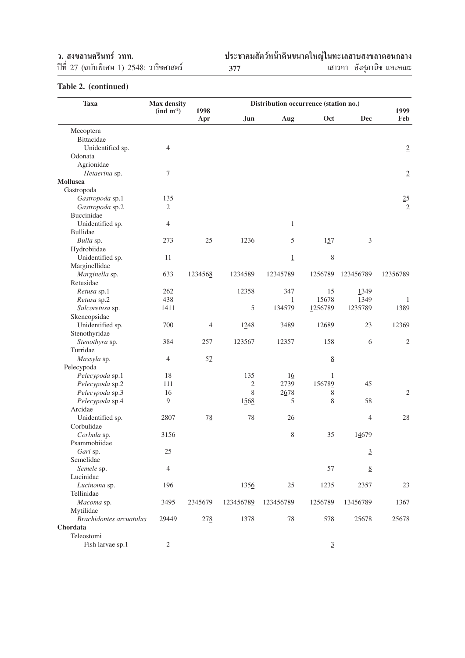ึว. สงขลานครินทร์ วทท.<br>ปีที่ 27 (ฉบับพิเศษ 1) 2548: วาริชศาสตร์

ªï∑'Ë 27 (©∫—∫摇»… 1) 2548: «"√'™»" µ√å **ª√–™"§¡ —µ«åÀπâ"¥'π¢π"¥"À≠à"π∑–‡≈ "∫ ߢ≈"µÕπ°≈"ß <sup>377</sup>** ‡ "«¿" Õ—ß ÿ¿"π'™ ·≈–§≥–

| Max density<br><b>Taxa</b><br>Distribution occurrence (station no.)<br>1998<br>$\left(\text{ind } m^{-2}\right)$ |                |         |                |                         |                 |                 | 1999            |
|------------------------------------------------------------------------------------------------------------------|----------------|---------|----------------|-------------------------|-----------------|-----------------|-----------------|
|                                                                                                                  |                | Apr     | Jun.           | Aug                     | Oct             | <b>Dec</b>      | Feb             |
| Mecoptera                                                                                                        |                |         |                |                         |                 |                 |                 |
| Bittacidae                                                                                                       |                |         |                |                         |                 |                 |                 |
| Unidentified sp.                                                                                                 | 4              |         |                |                         |                 |                 | $\overline{2}$  |
| Odonata                                                                                                          |                |         |                |                         |                 |                 |                 |
| Agrionidae                                                                                                       |                |         |                |                         |                 |                 |                 |
| Hetaerina sp.                                                                                                    | 7              |         |                |                         |                 |                 | $\overline{2}$  |
| Mollusca                                                                                                         |                |         |                |                         |                 |                 |                 |
| Gastropoda                                                                                                       |                |         |                |                         |                 |                 |                 |
| Gastropoda sp.1                                                                                                  | 135            |         |                |                         |                 |                 | 25              |
| Gastropoda sp.2                                                                                                  | $\mathfrak{2}$ |         |                |                         |                 |                 | $\underline{2}$ |
| Buccinidae                                                                                                       |                |         |                |                         |                 |                 |                 |
| Unidentified sp.                                                                                                 | 4              |         |                | $\perp$                 |                 |                 |                 |
| <b>Bullidae</b>                                                                                                  |                |         |                |                         |                 |                 |                 |
| Bulla sp.                                                                                                        | 273            | 25      | 1236           | 5                       | 157             | 3               |                 |
| Hydrobiidae                                                                                                      |                |         |                |                         |                 |                 |                 |
| Unidentified sp.                                                                                                 | 11             |         |                | $\underline{1}$         | 8               |                 |                 |
| Marginellidae                                                                                                    |                |         |                |                         |                 |                 |                 |
| Marginella sp.                                                                                                   | 633            | 1234568 | 1234589        | 12345789                | 1256789         | 123456789       | 12356789        |
| Retusidae                                                                                                        |                |         |                |                         |                 |                 |                 |
| Retusa sp.1                                                                                                      | 262            |         | 12358          | 347                     | 15              | 1349            |                 |
| Retusa sp.2                                                                                                      | 438            |         |                | $\overline{\mathbf{1}}$ | 15678           | 1349            | 1               |
| Sulcoretusa sp.                                                                                                  | 1411           |         | 5              | 134579                  | 1256789         | 1235789         | 1389            |
| Skeneopsidae                                                                                                     |                |         |                |                         |                 |                 |                 |
| Unidentified sp.                                                                                                 | 700            | 4       | 1248           | 3489                    | 12689           | 23              | 12369           |
| Stenothyridae                                                                                                    |                |         |                |                         |                 |                 |                 |
| Stenothyra sp.                                                                                                   | 384            | 257     | 123567         | 12357                   | 158             | 6               | $\mathbf{2}$    |
| Turridae                                                                                                         |                |         |                |                         |                 |                 |                 |
| Massyla sp.                                                                                                      | 4              | 57      |                |                         | $\underline{8}$ |                 |                 |
| Pelecypoda                                                                                                       |                |         |                |                         |                 |                 |                 |
| Pelecypoda sp.1                                                                                                  | 18             |         | 135            | 16                      | 1               |                 |                 |
| Pelecypoda sp.2                                                                                                  | 111            |         | $\mathfrak{2}$ | 2739                    | 156789          | 45              |                 |
| Pelecypoda sp.3                                                                                                  | 16             |         | 8              | 2678                    | 8               |                 | 2               |
| Pelecypoda sp.4                                                                                                  | 9              |         | 1568           | 5                       | 8               | 58              |                 |
| Arcidae                                                                                                          |                |         |                |                         |                 |                 |                 |
| Unidentified sp.                                                                                                 | 2807           | 78      | 78             | 26                      |                 | $\overline{4}$  | 28              |
| Corbulidae                                                                                                       |                |         |                |                         |                 |                 |                 |
| Corbula sp.                                                                                                      | 3156           |         |                | 8                       | 35              | 14679           |                 |
| Psammobiidae                                                                                                     |                |         |                |                         |                 |                 |                 |
| Gari sp.                                                                                                         | 25             |         |                |                         |                 | $\underline{3}$ |                 |
| Semelidae                                                                                                        |                |         |                |                         |                 |                 |                 |
| Semele sp.                                                                                                       | 4              |         |                |                         | 57              | $\underline{8}$ |                 |
| Lucinidae                                                                                                        |                |         |                |                         |                 |                 |                 |
| Lucinoma sp.                                                                                                     | 196            |         | 1356           | 25                      | 1235            | 2357            | 23              |
| Tellinidae                                                                                                       |                |         |                |                         |                 |                 |                 |
| Macoma sp.                                                                                                       | 3495           | 2345679 | 123456789      | 123456789               | 1256789         | 13456789        | 1367            |
| Mytilidae                                                                                                        |                |         |                |                         |                 |                 |                 |
| Brachidontes arcuatulus                                                                                          | 29449          | 278     | 1378           | 78                      | 578             | 25678           | 25678           |
| Chordata                                                                                                         |                |         |                |                         |                 |                 |                 |
| Teleostomi                                                                                                       |                |         |                |                         |                 |                 |                 |
| Fish larvae sp.1                                                                                                 | $\overline{c}$ |         |                |                         | $\underline{3}$ |                 |                 |
|                                                                                                                  |                |         |                |                         |                 |                 |                 |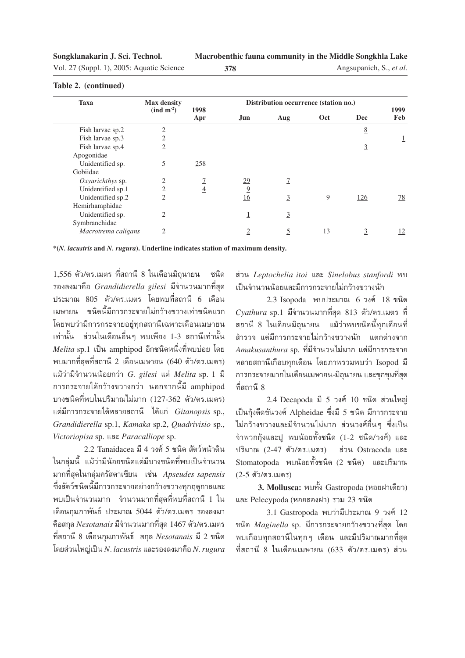| Vol. 27 (Suppl. 1), 2005: Aquatic Science | 378 |
|-------------------------------------------|-----|
|-------------------------------------------|-----|

Angsupanich, S., *et al.*

| <b>Taxa</b>         | <b>Max density</b>                |                | Distribution occurrence (station no.) |                |     |                 |                |
|---------------------|-----------------------------------|----------------|---------------------------------------|----------------|-----|-----------------|----------------|
|                     | $\left(\text{ind } m^{-2}\right)$ | 1998<br>Apr    | Jun.                                  | Aug            | Oct | <b>Dec</b>      | 1999<br>Feb    |
| Fish larvae sp.2    | $\overline{2}$                    |                |                                       |                |     | $\underline{8}$ |                |
| Fish larvae sp.3    | $\overline{2}$                    |                |                                       |                |     |                 | $\perp$        |
| Fish larvae sp.4    | $\overline{c}$                    |                |                                       |                |     | $\overline{3}$  |                |
| Apogonidae          |                                   |                |                                       |                |     |                 |                |
| Unidentified sp.    | 5                                 | 258            |                                       |                |     |                 |                |
| Gobiidae            |                                   |                |                                       |                |     |                 |                |
| Oxyurichthys sp.    | $\overline{2}$                    |                | 29                                    | $\mathcal{I}$  |     |                 |                |
| Unidentified sp.1   | $\overline{c}$                    | $\overline{4}$ | $\overline{9}$                        |                |     |                 |                |
| Unidentified sp.2   | $\overline{c}$                    |                | 16                                    | $\overline{3}$ | 9   | 126             | <u>78</u>      |
| Hemirhamphidae      |                                   |                |                                       |                |     |                 |                |
| Unidentified sp.    | $\overline{2}$                    |                | Ŧ                                     | $\overline{3}$ |     |                 |                |
| Symbranchidae       |                                   |                |                                       |                |     |                 |                |
| Macrotrema caligans | $\overline{c}$                    |                | 2                                     | 5              | 13  | $\overline{3}$  | $\frac{12}{2}$ |

**\*(***N. lacustris* **and** *N. rugura***). Underline indicates station of maximum density.**

1,556 ตัว/ตร.เมตร ที่สถานี 8 ในเดือนมิถุนายน ชนิด ำองลงมาคือ *Grandidierella gilesi* มีจำนวนมากที่สด ูประมาณ 805 ตัว/ตร.เมตร โดยพบที่สถานี 6 เดือน ้ เมษายน ชนิดนี้มีการกระจายไม่กว้างขวางเท่าชนิดแรก โดยพบว่ามีการกระจายอย่ทกสถานีเฉพาะเดือนเมษายน เท่านั้น ส่วนในเดือนอื่นๆ พบเพียง 1-3 สถานีเท่านั้น *Melita* sp.1 เป็น amphipod อีกชนิดหนึ่งที่พบบ่อย โดย พบมากที่สุดที่สถานี 2 เดือนเมษายน (640 ตัว/ตร.เมตร) ·¡â«à"¡'®"π«ππâÕ¬°«à" *G. gilesi* ᵈ *Melita* sp. 1 ¡' °"√°√–®"¬‰¥â°«â"ߢ«"ß°«à" πÕ°®"°π'È¡' amphipod บางชนิดที่พบในปริมาณไม่มาก (127-362 ตัว/ตร.เมตร) ·µà¡'°"√°√–®"¬‰¥âÀ≈"¬ ∂"π' ‰¥â·°à *Gitanopsis* sp., *Grandidierella* sp.1, *Kamaka* sp.2, *Quadrivisio* sp., *Victoriopisa* sp. ·≈– *Paracalliope* sp.

 $2.2$  Tanaidacea มี 4 วงศ์ 5 ชนิด สัตว์หน้าดิน ในกลุ่มนี้ แม้ว่ามีน้อยชนิดแต่มีบางชนิดที่พบเป็นจำนวน ¡"°∑'Ë ÿ¥"π°≈ÿà¡§√— µ"‡´'¬π ‡™àπ *Apseudes sapensis* ์ซึ่งสัตว์ชนิดนี้มีการกระจายอย่างกว้างขวางทุกฤดูกาลและ ์ พบเป็นจำนวนมาก จำนวนมากที่สุดที่พบที่สถานี 1 ใน เดือนกุมภาพันธ์ ประมาณ 5044 ตัว/ตร.เมตร รองลงมา ้คือสกุล *Nesotanais* มีจำนวนมากที่สุด 1467 ตัว/ตร.เมตร ∑'Ë ∂"π' 8 ‡¥◊Õπ°ÿ¡¿"æ—π∏å °ÿ≈ *Nesotanais* ¡' 2 ™π'¥  $\bar{\mathbb{R}}$ อยส่วนใหญ่เป็น *N. lacustris* และรองลงมาคือ *N. rugura* 

 à«π *Leptochelia itoi* ·≈– *Sinelobus stanfordi* æ∫ ู้เป็นจำนวนน้อยและมีการกระจายไม่กว้างขวางนัก

2.3 Isopoda พบประมาณ 6 วงศ์  $18$  ชนิด  $C$ y*athura* sp.1 มีจำนวนมากที่สุด 813 ตัว/ตร.เมตร ที่ ิสถานี 8 ในเดือนมิถนายน แม้ว่าพบชนิดนี้ทกเดือนที่ ์สำรวจ แต่มีการกระจายไม่กว้างขวางนัก แตกต่างจาก *Amakusanthura* sp. ที่มีจำนวนไม่มาก แต่มีการกระจาย หลายสถานีเกือบทุกเดือน โดยภาพรวมพบว่า Isopod มี ำการกระจายมากในเดือนเมษายน-มิถุนายน และชุกชุมที่สุด ู้ที่สถานี 8

2.4 Decapoda มี 5 วงศ์ 10 ชนิด ส่วนใหญ่ เป็นกังดีดขันวงศ์ Alpheidae ซึ่งมี 5 ชนิด มีการกระจาย ไม่กว้างขวางและมีจำนวนไม่มาก ส่วนวงศ์อื่นๆ ซึ่งเป็น ึจำพวกกุ้งและปู พบน้อยทั้งชนิด (1-2 ชนิด/วงศ์) และ ปริมาณ (2-47 ตัว/ตร.เมตร) ส่วน Ostracoda และ  $Stomatopoda$  พบน้อยทั้งชนิด (2 ชนิด) และปริมาณ  $(2-5 \n\widetilde{\mathfrak{g}}_7/\mathfrak{g}_5)$ . (2-5

**3. Mollusca: พบทั้ง Gastropoda (หอยฝาเดียว)** และ Pelecypoda (หอยสองฝา) รวม 23 ชนิด

3.1 Gastropoda พบว่ามีประมาณ 9 วงศ์ 12  $^{\prime\prime}$ ชนิด  $\emph{Maginella}$  sp. มีการกระจายกว้างขวางที่สุด โดย พบเกือบทกสถานีในทกๆ เดือน และมีปริมาณมากที่สด ีที่สถานี 8 ในเดือนเมษายน (633 ตัว/ตร.เมตร) ส่วน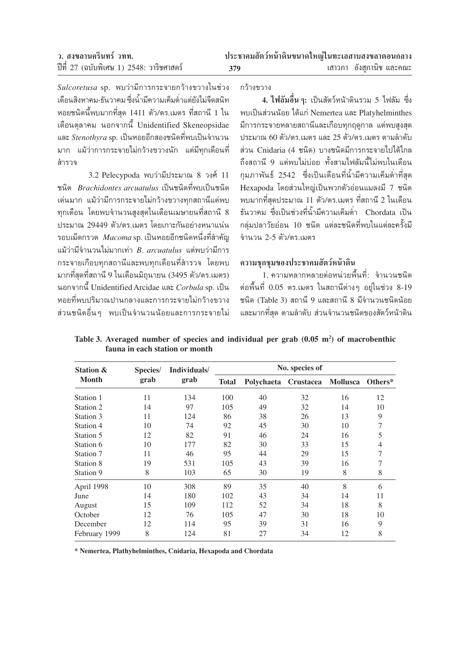Sulcoretusa sp. พบว่ามีการกระจายกว้างขวางในช่วง เดือนสิงหาคม-ธันวาคม ซึ่งน้ำมีความเค็มต่ำแต่ยังไม่จืดสนิท หอยชนิดนี้พบมากที่สุด 1411 ตัว/ตร.เมตร ที่สถานี 1 ใน เดือนตุลาคม นอกจากนี้ Unidentified Skeneopsidae และ *Stenothvra* sp. เป็นหอยอีกสองชนิดที่พบเป็นจำนวน มาก แม้ว่าการกระจายไม่กว้างขวางนัก แต่มีทุกเดือนที่ สำรวจ

3.2 Pelecypoda พบว่ามีประมาณ 8 วงศ์ 11 ชนิด *Brachidontes arcuatulus* เป็นชนิดที่พบเป็นชนิด เด่นมาก แม้ว่ามีการกระจายไม่กว้างขวางทกสถานีแต่พบ ทุกเดือน โดยพบจำนวนสูงสุดในเดือนเมษายนที่สถานี 8 ประมาณ 29449 ตัว/ตร.เมตร โดยเกาะกันอย่างหนาแน่น รอบเม็ดกรวด  $\it Macoma$  sp. เป็นหอยอีกชนิดหนึ่งที่สำคัญ แม้ว่ามีจำนวนไม่มากเท่า B. arcuatulus แต่พบว่ามีการ กระจายเกือบทกสถานีและพบทกเดือนที่สำรวจ โดยพบ มากที่สุดที่สถานี 9 ในเดือนมิถนายน (3495 ตัว/ตร.เมตร) นอกจากนี้ Unidentified Arcidae และ Corbula sp. เป็น หอยที่พบปริมาณปานกลางและการกระจายไม่กว้างขวาง ้ส่วนชนิดอื่น ๆ พบเป็นจำนวนน้อยและการกระจายไม่

กว้างขวาง

4. ไฟลัมอื่น ๆ: เป็นสัตว์หน้าดินรวม 5 ไฟลัม ซึ่ง พบเป็นส่วนน้อย ได้แก่ Nemertea และ Platyhelminthes มีการกระจายหลายสถานีและเกือบทุกฤดูกาล แต่พบสูงสุด ประมาณ 60 ตัว/ตร เมตร และ 25 ตัว/ตร เมตร ตามลำดับ ส่วน Cnidaria (4 ชนิด) บางชนิดมีการกระจายไปได้ไกล ถึงสถานี 9 แต่พบไม่บ่อย ทั้งสามไฟลัมนี้ไม่พบในเดือน ึกุมภาพันธ์ 2542 ซึ่งเป็นเดือนที่น้ำมีความเค็มต่ำที่สุด Hexapoda โดยส่วนใหญ่เป็นพวกตัวอ่อนแมลงมี 7 ชนิด ้พบมากที่สดประมาณ 11 ตัว/ตร.เมตร ที่สถานี 2 ในเดือน ้ธันวาคม ซึ่งเป็นช่วงที่น้ำมีความเค็มต่ำ Chordata เป็น กลุ่มปลาวัยอ่อน 10 ชนิด แต่ละชนิดที่พบในแต่ละครั้งมี จำนวน 2-5 ตัว/ตร เมตร

# ความชกชมของประชาคมสัตว์หน้าดิน

1. ความหลากหลายต่อหน่วยพื้นที่: จำนวนชนิด ต่อพื้นที่ 0.05 ตร.เมตร ในสถานีต่างๆ อย่ในช่วง 8-19 ชนิด (Table 3) สถานี 9 และสถานี 8 มีจำนวนชนิดน้อย และมากที่สด ตามลำดับ ส่วนจำนวนชนิดของสัตว์หน้าดิน

| <b>Station &amp;</b> | Species/ | Individuals/ | No. species of |            |           |          |         |  |  |  |
|----------------------|----------|--------------|----------------|------------|-----------|----------|---------|--|--|--|
| <b>Month</b>         | grab     | grab         | <b>Total</b>   | Polychaeta | Crustacea | Mollusca | Others* |  |  |  |
| Station 1            | 11       | 134          | 100            | 40         | 32        | 16       | 12      |  |  |  |
| Station 2            | 14       | 97           | 105            | 49         | 32        | 14       | 10      |  |  |  |
| Station 3            | 11       | 124          | 86             | 38         | 26        | 13       | 9       |  |  |  |
| Station 4            | 10       | 74           | 92             | 45         | 30        | 10       | 7       |  |  |  |
| Station 5            | 12       | 82           | 91             | 46         | 24        | 16       | 5       |  |  |  |
| Station 6            | 10       | 177          | 82             | 30         | 33        | 15       | 4       |  |  |  |
| Station 7            | 11       | 46           | 95             | 44         | 29        | 15       |         |  |  |  |
| Station 8            | 19       | 531          | 105            | 43         | 39        | 16       |         |  |  |  |
| Station 9            | 8        | 103          | 65             | 30         | 19        | 8        | 8       |  |  |  |
| April 1998           | 10       | 308          | 89             | 35         | 40        | 8        | 6       |  |  |  |
| June                 | 14       | 180          | 102            | 43         | 34        | 14       | 11      |  |  |  |
| August               | 15       | 109          | 112            | 52         | 34        | 18       | 8       |  |  |  |
| October              | 12       | 76           | 105            | 47         | 30        | 18       | 10      |  |  |  |
| December             | 12       | 114          | 95             | 39         | 31        | 16       | 9       |  |  |  |
| February 1999        | 8        | 124          | 81             | 27         | 34        | 12       | 8       |  |  |  |

Table 3. Averaged number of species and individual per grab  $(0.05 \text{ m}^2)$  of macrobenthic fauna in each station or month

\* Nemertea, Plathyhelminthes, Cnidaria, Hexapoda and Chordata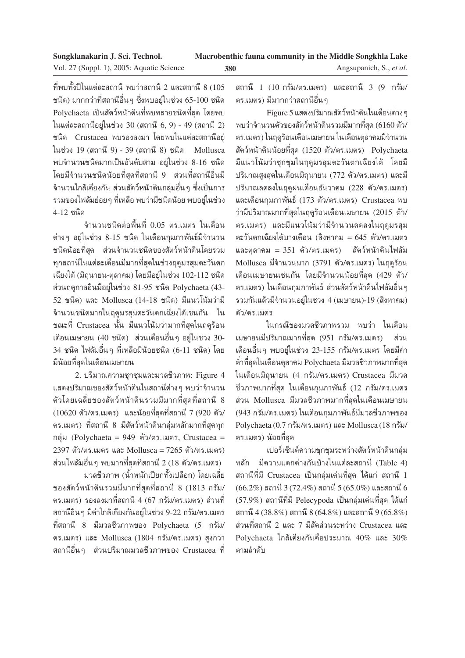ที่พบทั้งปีในแต่ละสถานี พบว่าสถานี 2 และสถานี 8 (105 ชนิด) มากกว่าที่สถานีอื่นๆ ซึ่งพบอย่ในช่วง 65-100 ชนิด Polychaeta เป็นสัตว์หน้าดินที่พบหลายชนิดที่สุด โดยพบ ในแต่ละสถานีอยู่ในช่วง 30 (สถานี 6, 9) - 49 (สถานี 2) ชนิด Crustacea พบรองลงมา โดยพบในแต่ละสถานีอยู่ ในช่วง 19 (สถานี 9) - 39 (สถานี 8) ชนิด Mollusca พบจำนวนชนิดมากเป็นอันดับสาม อยู่ในช่วง 8-16 ชนิด โดยมีจำนวนชนิดน้อยที่สุดที่สถานี 9 ส่วนที่สถานีอื่นมี ้จำนวนใกล้เคียงกัน ส่วนสัตว์หน้าดินกลุ่มอื่นๆ ซึ่งเป็นการ ้ รวมของไฟลัมย่อยๆ ที่เหลือ พบว่ามีชนิดน้อย พบอยู่ในช่วง 4-12 ชนิด

จำนวนชนิดต่อพื้นที่ 0.05 ตร.เมตร ในเดือน ต่างๆ อยู่ในช่วง 8-15 ชนิด ในเดือนกุมภาพันธ์มีจำนวน ชนิดน้อยที่สุด ส่วนจำนวนชนิดของสัตว์หน้าดินโดยรวม ทุกสถานีในแต่ละเดือนมีมากที่สุดในช่วงฤดูมรสุมตะวันตก เฉียงใต้ (มิถุนายน-ตุลาคม) โดยมีอยู่ในช่วง 102-112 ชนิด ส่วนฤดูกาลอื่นมีอยู่ในช่วง 81-95 ชนิด Polychaeta (43-52 ชนิด) และ Mollusca (14-18 ชนิด) มีแนวโน้มว่ามี ้จำนวนชนิดมากในฤดูมรสมตะวันตกเฉียงใต้เช่นกัน ใน ขณะที่ Crustacea นั้น มีแนวโน้มว่ามากที่สุดในฤดูร้อน เดือนเมษายน (40 ชนิด) ส่วนเดือนอื่นๆ อยู่ในช่วง 30-34 ชนิด ไฟลัมอื่นๆ ที่เหลือมีน้อยชนิด (6-11 ชนิด) โดย มีน้อยที่สุดในเดือนเมษายน

2. ปริมาณความชุกชุมและมวลชีวภาพ: Figure 4 แสดงปริมาณของสัตว์หน้าดินในสถานีต่าง ๆ พบว่าจำนวน ตัวโดยเฉลี่ยของสัตว์หน้าดินรวมมีมากที่สุดที่สถานี 8 (10620 ตัว/ตร.เมตร) และน้อยที่สุดที่สถานี 7 (920 ตัว/ ้ตร.เมตร) ที่สถานี 8 มีสัตว์หน้าดินกลุ่มหลักมากที่สุดทุก กลุ่ม (Polychaeta = 949 ตัว/ตร.เมตร, Crustacea = 2397 ตัว/ตร.เมตร และ Mollusca = 7265 ตัว/ตร.เมตร) ส่วนไฟลัมอื่น ๆ พบมากที่สดที่สถานี 2 (18 ตัว/ตร.เมตร)

้มวลชีวภาพ (น้ำหนักเปียกทั้งเปลือก) โดยเฉลี่ย ของสัตว์หน้าดินรวมมีมากที่สุดที่สถานี 8 (1813 กรัม/ ้ตร.เมตร) รองลงมาที่สถานี 4 (67 กรัม/ตร.เมตร) ส่วนที่ ีสถานีอื่นๆ มีค่าใกล้เคียงกันอยู่ในช่วง 9-22 กรัม/ตร.เมตร ที่สถานี 8 มีมวลชีวภาพของ Polychaeta (5 กรัม/ ตร.เมตร) และ Mollusca (1804 กรัม/ตร.เมตร) สูงกว่า ิสถานีอื่นๆ ส่วนปริมาณมวลชีวภาพของ Crustacea ที่ สถานี 1 (10 กรัม/ตร.เมตร) และสถานี 3 (9 กรัม/ ตร.เมตร) มีมากกว่าสถานีอื่นๆ

Figure 5 แสดงปริมาณสัตว์หน้าดินในเดือนต่างๆ พบว่าจำนวนตัวของสัตว์หน้าดินรวมมีมากที่สุด (6160 ตัว/ ตร.เมตร) ในฤดูร้อนเดือนเมษายน ในเดือนตุลาคมมีจำนวน สัตว์หน้าดินน้อยที่สุด (1520 ตัว/ตร.เมตร) Polychaeta มีแนวโน้มว่าชุกชุมในฤดูมรสุมตะวันตกเฉียงใต้ โดยมี ปริมาณสูงสุดในเดือนมิถุนายน (772 ตัว/ตร.เมตร) และมี ปริมาณลดลงในฤดูฝนเดือนธันวาคม (228 ตัว/ตร.เมตร) และเดือนกุมภาพันธ์ (173 ตัว/ตร.เมตร) Crustacea พบ ว่ามีปริมาณมากที่สุดในฤดูร้อนเดือนเมษายน (2015 ตัว/ ตร.เมตร) และมีแนวโน้มว่ามีจำนวนลดลงในฤดูมรสุม ตะวันตกเฉียงใต้บางเดือน (สิงหาคม = 645 ตัว/ตร.เมตร และตุลาคม = 351 ตัว/ตร.เมตร) สัตว์หน้าดินไฟลัม Mollusca มีจำนวนมาก (3791 ตัว/ตร.เมตร) ในฤดูร้อน เดือนเมษายนเช่นกัน โดยมีจำนวนน้อยที่สุด (429 ตัว/ ้ตร.เมตร) ในเดือนกมภาพันธ์ ส่วนสัตว์หน้าดินไฟลัมอื่นๆ รวมกันแล้วมีจำนวนอยู่ในช่วง 4 (เมษายน)-19 (สิงหาคม) ตัว/ตร เมตร

ในกรณีของมวลชีวภาพรวม พบว่า ในเดือน เมษายนมีปริมาณมากที่สุด (951 กรัม/ตร.เมตร) ส่วน เดือนอื่นๆ พบอยู่ในช่วง 23-155 กรัม/ตร.เมตร โดยมีค่า ้ต่ำที่สุดในเดือนตุลาคม Polychaeta มีมวลชีวภาพมากที่สุด ในเดือนมิถุนายน (4 กรัม/ตร.เมตร) Crustacea มีมวล ้ชีวภาพมากที่สุด ในเดือนกุมภาพันธ์ (12 กรัม/ตร.เมตร ้ส่วน Mollusca มีมวลชีวภาพมากที่สุดในเดือนเมษายน (943 กรัม/ตร.เมตร) ในเดือนกุมภาพันธ์มีมวลชีวภาพของ Polychaeta (0.7 กรัม/ตร.เมตร) และ Mollusca (18 กรัม/ ตร.เมตร) น้อยที่สุด

เปอร์เซ็นต์ความชุกชุมระหว่างสัตว์หน้าดินกลุ่ม หลัก มีความแตกต่างกันบ้างในแต่ละสถานี (Table 4) ิสถานีที่มี Crustacea เป็นกลุ่มเด่นที่สุด ได้แก่ สถานี 1  $(66.2\%)$  สถานี 3 (72.4%) สถานี 5 (65.0%) และสถานี 6 (57.9%) สถานีที่มี Pelecypoda เป็นกลุ่มเด่นที่สุด ได้แก่ สถานี 4 (38.8%) สถานี 8 (64.8%) และสถานี 9 (65.8%) ี่ส่วนที่สถานี 2 และ 7 มีสัดส่วนระหว่าง Crustacea และ Polychaeta ใกล้เคียงกันคือประมาณ  $40\%$  และ  $30\%$ ตามลำดับ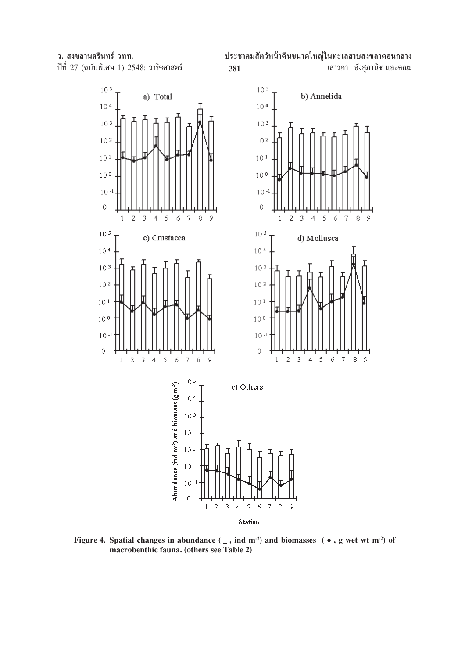

 $\epsilon$  $\boldsymbol{7}$  $\,$   $\,$  $\overline{9}$ 

 $\acute{\rm{o}}$  $\bar{7}$  $\circ$   $\overline{9}$ 



Figure 4. Spatial changes in abundance  $(\square, \text{ind } m^2)$  and biomasses  $(\bullet, g \text{ wet wt } m^2)$  of **macrobenthic fauna. (others see Table 2)**

 $10<sup>5</sup>$ 

 $10<sup>4</sup>$ 

 $10<sup>3</sup>$ 

 $10<sup>2</sup>$ 

 $10\,1$ 

 $10<sup>0</sup>$ 

 $10 - 1$ 

 $\overline{0}$ 

 $10<sup>5</sup>$ 

 $10<sup>4</sup>$ 

 $10<sup>3</sup>$ 

 $10<sup>2</sup>$ 

 $10<sup>1</sup>$ 

 $10<sup>0</sup>$ 

 $10 - 1$ 

 $\circ$ 

 $\,1\,$ 

 $\,1\,$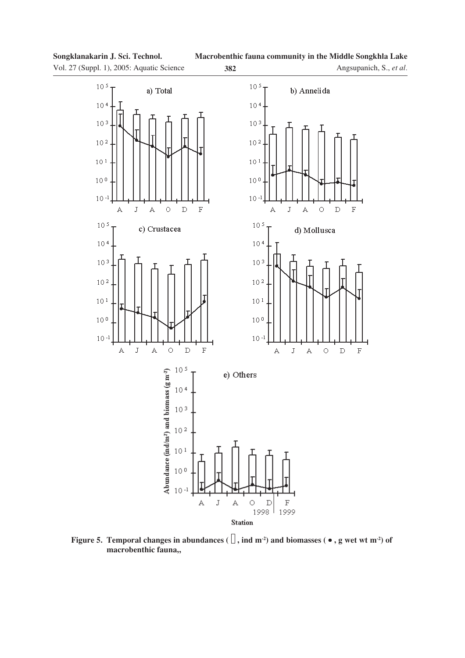Vol. 27 (Suppl. 1), 2005: Aquatic Science **382**





**Figure 5. Temporal changes in abundances (** $\Box$ , ind m<sup>-2</sup>) and biomasses ( $\bullet$ , g wet wt m<sup>-2</sup>) of macrobenthic fauna,,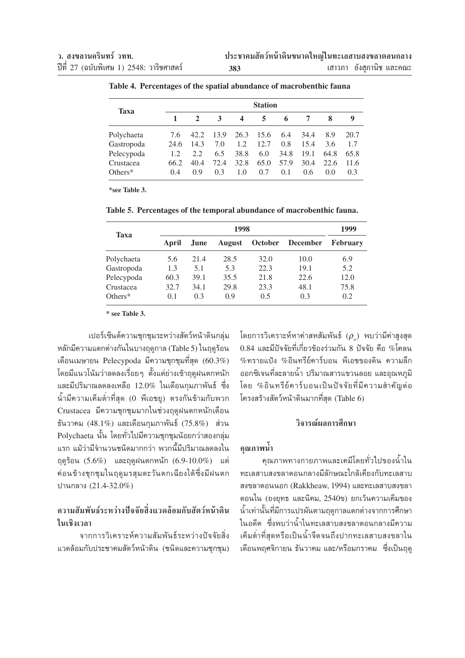|             | <b>Station</b> |                |      |      |      |      |               |      |      |  |
|-------------|----------------|----------------|------|------|------|------|---------------|------|------|--|
| <b>Taxa</b> |                | $\overline{2}$ | 3    | 4    | 5    | 6    |               | 8    | 9    |  |
| Polychaeta  | 7.6            | 42.2           | 13.9 | 26.3 | 15.6 | 6.4  | 34.4          | 8.9  | 20.7 |  |
| Gastropoda  | 24.6           | 14.3           | 7.0  | 1.2  | 12.7 | 0.8  | 15.4          | 3.6  | 1.7  |  |
| Pelecypoda  | 1.2            | 2.2            | 6.5  | 38.8 | 6.0  | 34.8 | 19.1          | 64.8 | 65.8 |  |
| Crustacea   | 66.2           | 40.4           | 72.4 | 32.8 | 65.0 | 57.9 | 30.4          | 22.6 | 11.6 |  |
| Others*     | 0.4            | 0.9            | 0.3  | 1.0  | 0.7  | 0.1  | $0.6^{\circ}$ | 0.0  | 0.3  |  |

Table 4. Percentages of the spatial abundance of macrobenthic fauna

\*see Table 3.

Table 5. Percentages of the temporal abundance of macrobenthic fauna.

| <b>Taxa</b>      |       | 1999        |               |                |                 |                 |
|------------------|-------|-------------|---------------|----------------|-----------------|-----------------|
|                  | April | <b>June</b> | <b>August</b> | <b>October</b> | <b>December</b> | <b>February</b> |
| Polychaeta       | 5.6   | 21.4        | 28.5          | 32.0           | 10.0            | 6.9             |
| Gastropoda       | 1.3   | 5.1         | 5.3           | 22.3           | 19.1            | 5.2             |
| Pelecypoda       | 60.3  | 39.1        | 35.5          | 21.8           | 22.6            | 12.0            |
| Crustacea        | 32.7  | 34.1        | 29.8          | 23.3           | 48.1            | 75.8            |
| $\text{Dthers*}$ | 0.1   | 0.3         | 0.9           | 0.5            | 0.3             | 0.2             |

\* see Table 3.

เปอร์เซ็นต์ความชุกชุมระหว่างสัตว์หน้าดินกลุ่ม หลักมีความแตกต่างกันในบางฤดูกาล (Table 5) ในฤดูร้อน เดือนเมษายน Pelecypoda มีความชุกชุมที่สุด  $(60.3\%)$ โดยมีแนวโน้มว่าลดลงเรื่อยๆ ตั้งแต่ย่างเข้าฤดูฝนตกหนัก และมีปริมาณลดลงเหลือ 12.0% ในเดือนกุมภาพันธ์ ซึ่ง น้ำมีความเค็มต่ำที่สุด (0 พีเอชยุ) ตรงกันข้ามกับพวก Crustacea มีความชุกชุมมากในช่วงฤดูฝนตกหนักเดือน ธันวาคม (48.1%) และเดือนกุมภาพันธ์ (75.8%) ส่วน Polychaeta นั้น โดยทั่วไปมีความชุกชุมน้อยกว่าสองกลุ่ม แรก แม้ว่ามีจำนวนชนิดมากกว่า พวกนี้มีปริมาณลดลงใน ถุดูร้อน  $(5.6\%)$  และถุดูฝนตกหนัก  $(6.9-10.0\%)$  แต่ ค่อนข้างชุกชุมในฤดูมรสุมตะวันตกเฉียงใต้ซึ่งมีฝนตก ปานกลาง (21.4-32.0%)

# ดวามสัมพับร์ระหว่างปัจจัยสิ่งแวดล้อมกับสัตว์หน้าดิบ ในเชิงเวลา

จากการวิเคราะห์ความสัมพันธ์ระหว่างปัจจัยสิ่ง แวดล้อมกับประชาคมสัตว์หน้าดิน (ชนิดและความชุกชุม) โดยการวิเคราะห์หาค่าสหสัมพันธ์  $(\rho_{\omega})$  พบว่ามีค่าสูงสุด  $0.84$  และมีปัจจัยที่เกี่ยวข้องร่วมกัน 8 ปัจจัย คือ %โคลน  $\%$ ทรายแป้ง  $\%$ อินทรีย์คาร์บอน พีเอชของดิน ความลึก ้ออกซิเจนที่ละลายน้ำ ปริมาณสารแขวนลอย และอุณหภูมิ โดย %อินทรีย์คาร์บอนเป็นปัจจัยที่มีความสำคัญต่อ โครงสร้างสัตว์หน้าดินมากที่สุด (Table 6)

### วิจารณ์ผลการศึกษา

# ดุณภาพน้ำ

ิคณภาพทางกายภาพและเคมีโดยทั่วไปของน้ำใน ทะเลสาบสงขลาตอนกลางมีลักษณะใกล้เคียงกับทะเลสาบ สงขลาตอนนอก (Rakkheaw, 1994) และทะเลสาบสงขลา ตอนใน (ยงยุทธ และนิคม, 2540ข) ยกเว้นความเค็มของ น้ำเท่านั้นที่มีการแปรผันตามฤดูกาลแตกต่างจากการศึกษา ในอดีต ซึ่งพบว่าน้ำในทะเลสาบสงขลาตอนกลางมีความ เค็มต่ำที่สุดหรือเป็นน้ำจืดจนถึงปากทะเลสาบสงขลาใน เดือนพฤศจิกายน ธันวาคม และ/หรือมกราคม ซึ่งเป็นฤดู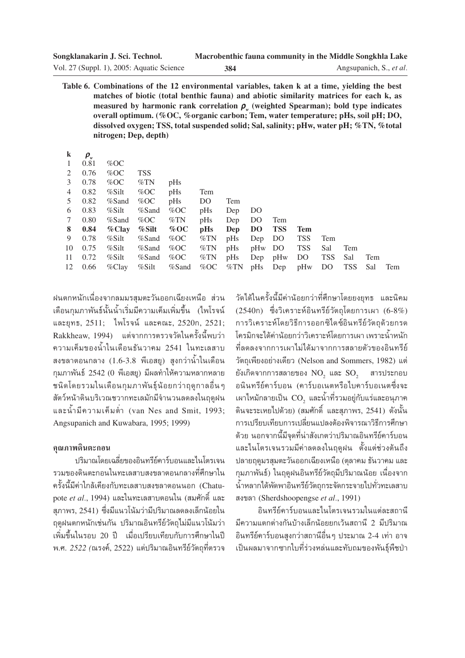| Songklanakarin J. Sci. Technol.           |     | Macrobenthic fauna community in the Middle Songkhla Lake |
|-------------------------------------------|-----|----------------------------------------------------------|
| Vol. 27 (Suppl. 1), 2005: Aquatic Science | 384 | Angsupanich, S., et al.                                  |

Table 6. Combinations of the 12 environmental variables, taken k at a time, yielding the best matches of biotic (total benthic fauna) and abiotic similarity matrices for each k, as measured by harmonic rank correlation  $\rho_{\mu}$  (weighted Spearman); bold type indicates overall optimum. (%OC, %organic carbon; Tem, water temperature; pHs, soil pH; DO, dissolved oxygen; TSS, total suspended solid; Sal, salinity; pHw, water pH; %TN, %total nitrogen: Dep. depth)

| k              | $\bm{\rho}_{\scriptscriptstyle{w}}$ |             |             |             |            |     |         |            |            |            |     |     |     |
|----------------|-------------------------------------|-------------|-------------|-------------|------------|-----|---------|------------|------------|------------|-----|-----|-----|
| -1             | 0.81                                | % $\rm{OC}$ |             |             |            |     |         |            |            |            |     |     |     |
| 2              | 0.76                                | % $\rm{OC}$ | <b>TSS</b>  |             |            |     |         |            |            |            |     |     |     |
| 3              | 0.78                                | % $OC$      | $\%TN$      | pHs         |            |     |         |            |            |            |     |     |     |
| 4              | 0.82                                | %Silt       | % $OC$      | pHs         | Tem        |     |         |            |            |            |     |     |     |
| 5              | 0.82                                | %Sand       | % $\rm{OC}$ | pHs         | DO         | Tem |         |            |            |            |     |     |     |
| 6              | 0.83                                | %Silt       | %Sand       | % $\rm{OC}$ | pHs        | Dep | DO      |            |            |            |     |     |     |
| $7\phantom{0}$ | 0.80                                | %Sand       | % $OC$      | $\%TN$      | $p$ Hs     | Dep | DO      | Tem        |            |            |     |     |     |
| 8              | 0.84                                | $\%$ Clay   | $%$ Silt    | % OC        | pHs        | Dep | DO      | <b>TSS</b> | Tem        |            |     |     |     |
| 9              | 0.78                                | $\%$ Silt   |             | %Sand %OC   | $\%\rm TN$ | pHs | Dep DO  |            | <b>TSS</b> | Tem        |     |     |     |
| 10             | 0.75                                | %Silt       | %Sand       | % $\rm{OC}$ | $\%\rm TN$ | pHs | pHw DO  |            | TSS        | Sal        | Tem |     |     |
| 11             | 0.72                                | %Silt       | %Sand       | % $\rm OC$  | %TN        | pHs | Dep pHw |            | DO         | <b>TSS</b> | Sal | Tem |     |
| 12             | 0.66                                | %Clay       | %Silt       | $\%$ Sand   | % $OC$ %TN |     |         | pHs Dep    | pHw        | DO.        | TSS | Sal | Tem |

ฝนตกหนักเนื่องจากลมมรสมตะวันออกเฉียงเหนือ ส่วน เดือนกมภาพันธ์นั้นน้ำเริ่มมี่ความเค็มเพิ่มขึ้น (ไพโรจน์ และยุทธ, 2511; ไพโรจน์ และคณะ, 2520ก, 2521; Rakkheaw, 1994) แต่จากการตรวจวัดในครั้งนี้พบว่า ความเค็มของน้ำในเดือนธันวาคม 2541 ในทะเลสาบ สงขลาตอนกลาง (1.6-3.8 พีเอสยู) สูงกว่าน้ำในเดือน กุมภาพันธ์ 2542 (0 พีเอสยู) มีผลทำให้ความหลากหลาย ชนิดโดยรวมในเดือนกุมภาพันธุ์น้อยกว่าฤดูกาลอื่น ๆ สัตว์หน้าดินบริเวณชวากทะเลมักมีจำนวนลดลงในถดฝน และน้ำมีความเค็มต่ำ (van Nes and Smit. 1993: Angsupanich and Kuwabara, 1995; 1999).

#### คุณภาพดินตะกอน

ปริมาณโดยเฉลี่ยของอินทรีย์คาร์บอนและไนโตรเจน ้รวมของดินตะกอนในทะเลสาบสงขลาตอนกลางที่ศึกษาใน ้ครั้งนี้มีค่าใกล้เคียงกับทะเลสาบสงขลาตอนนอก (Chatupote et al., 1994) และในทะเลสาบตอนใน (สมศักดิ์ และ ี่สภาพร, 2541) ซึ่งมีแนวโน้มว่ามีปริมาณลดลงเล็กน้อยใน ฤดูฝนตกหนักเช่นกัน ปริมาณอินทรีย์วัตถุไม่มีแนวโน้มว่า เพิ่มขึ้นในรอบ 20 ปี เมื่อเปรียบเทียบกับการศึกษาในปี พ.ศ. 2522 (ณรงค์, 2522) แต่ปริมาณอินทรีย์วัตถุที่ตรวจ

วัดได้ในครั้งนี้มีค่าน้อยกว่าที่ศึกษาโดยยงยทธ และนิคม  $(2540n)$  ซึ่งวิเคราะห์อินทรีย์วัตถุโดยการเผา  $(6-8\%)$ การวิเคราะห์โดยวิธีการออกซิไดซ์อินทรีย์วัตถุด้วยกรด โครมิกจะได้ค่าน้อยกว่าวิเคราะห์โดยการเผา เพราะน้ำหนัก ที่ลดลงจากการเผาไม่ได้มาจากการสลายตัวของอินทรีย์ วัตถุเพียงอย่างเดียว (Nelson and Sommers, 1982) แต่ ยังเกิดจากการสลายของ  $NO<sub>2</sub>$  และ  $SO<sub>2</sub>$  สารประกอบ ้อนินทรีย์คาร์บอน (คาร์บอเนตหรือไบคาร์บอเนตซึ่งจะ เผาไหม้กลายเป็น CO<sub>2</sub> และน้ำที่รวมอยู่กับแร่และอนุภาค ดินจะระเหยไปด้วย) (สมศักดิ์ และสภาพร. 2541) ดั้งนั้น การเปรียบเทียบการเปลี่ยนแปลงต้องพิจารณาวิธีการศึกษา ้ด้วย นอกจากนี้มีจุดที่น่าสังเกตว่าปริมาณอินทรีย์คาร์บอน และไนโตรเจนรวมมีค่าลดลงในฤดูฝน ตั้งแต่ช่วงต้นถึง ปลายฤดูมรสุมตะวันออกเฉียงเหนือ (ตุลาคม ธันวาคม และ กุมภาพันธ์) ในฤดูฝนอินทรีย์วัตถุมีปริมาณน้อย เนื่องจาก น้ำหลากได้พัดพาอินทรีย์วัตถกระจัดกระจายไปทั่วทะเลสาบ สงขลา (Sherdshoopengse et al., 1991)

อินทรีย์คาร์บอนและไนโตรเจนรวมในแต่ละสถานี ้มีความแตกต่างกันบ้างเล็กน้อยยกเว้นสถานี 2 มีปริมาณ ้อินทรีย์คาร์บอนสูงกว่าสถานีอื่น ๆ ประมาณ 2-4 เท่า อาจ เป็นผลมาจากซากใบที่ร่วงหล่นและทับถมของพันธุ์พืชป่า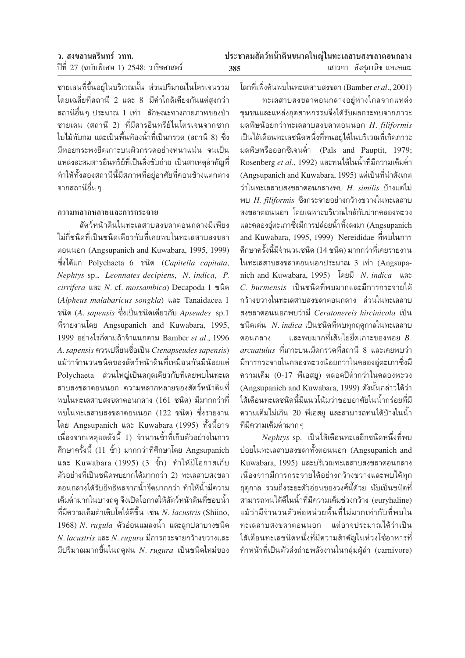| ว. สงขลานครินทร์ วทท.                    | ประชาคมสัตว์หน้าดินขนาดใหญ่ในทะเลสาบสงขลาตอนกลาง |                          |  |
|------------------------------------------|--------------------------------------------------|--------------------------|--|
| ปีที่ 27 (ฉบับพิเศษ 1) 2548: วาริชศาสตร์ | 385                                              | เสาวภา อังสุภานิช และคณะ |  |

ชายเลนที่ขึ้นอยู่ในบริเวณนั้น ส่วนปริมาณไนโตรเจนรวม โดยเฉลี่ยที่สถานี 2 และ 8 มีค่าใกล้เคียงกันแต่สงกว่า ีสถานีอื่นๆ ประมาณ 1 เท่า ลักษณะทางกายภาพของป่า ชายเลน (สถานี 2) ที่มีสารอินทรีย์ในโตรเจนจากซาก ใบไม้ทับถม และเป็นพื้นท้องน้ำที่เป็นกรวด (สถานี 8) ซึ่ง มีหอยกระพงยึดเกาะบนผิวกรวดอย่างหนาแน่น จนเป็น แหล่งสะสมสารอินทรีย์ที่เป็นสิ่งขับถ่าย เป็นสาเหตุสำคัญที่ ทำให้ทั้งสองสถานีนี้มีสภาพที่อยู่อาศัยที่ค่อนข้างแตกต่าง ์<br>จากสถานีอื่น ๆ

#### ความหลากหลายและการกระจาย

สัตว์หน้าดินในทะเลสาบสงขลาตอนกลางมีเพียง ใม่กี่ชนิดที่เป็นชนิดเดียวกับที่เคยพบในทะเลสาบสงขลา ตอนนอก (Angsupanich and Kuwabara, 1995, 1999) ซึ่งได้แก่ Polychaeta 6 ชนิด (Capitella capitata, Nephtys sp., Leonnates decipiens, N. indica, P. cirrifera และ N. cf. mossambica) Decapoda 1 ชนิด (Alpheus malabaricus songkla) และ Tanaidacea 1 ชนิด (A. sapensis ซึ่งเป็นชนิดเดียวกับ Apseudes sp.1 ที่รายงานโดย Angsupanich and Kuwabara, 1995, 1999 อย่างไรก็ตามถ้าจำแนกตาม Bamber et al., 1996 A. sapensis ควรเปลี่ยนชื่อเป็น Ctenapseudes sapensis) แม้ว่าจำนวนชนิดของสัตว์หน้าดินที่เหมือนกันมีน้อยแต่ Polychaeta ส่วนใหญ่เป็นสกลเดียวกับที่เคยพบในทะเล ้สาบสงขลาตอนนอก ความหลากหลายของสัตว์หน้าดินที่ ้พบในทะเลสาบสงขลาตอนกลาง (161 ชนิด) มีมากกว่าที่ พบในทะเลสาบสงขลาตอนนอก (122 ชนิด) ซึ่งรายงาน โดย Angsupanich และ Kuwabara (1995) ทั้งนี้อาจ ้เนื่องจากเหตุผลดังนี้ 1) จำนวนซ้ำที่เก็บตัวอย่างในการ ์ศึกษาครั้งนี้ (11 ซ้ำ) มากกว่าที่ศึกษาโดย Angsupanich และ Kuwabara (1995) (3 ซ้ำ) ทำให้มีโอกาสเก็บ ้ตัวอย่างที่เป็นชนิดพบยากได้มากกว่า 2) ทะเลสาบสงขลา ้ตอนกลางได้รับอิทธิพลจากน้ำจืดมากกว่า ทำให้น้ำมีความ ้เค็มต่ำมากในบางฤดู จึงเปิดโอกาสให้สัตว์หน้าดินที่ชอบน้ำ ที่มีความเค็มต่ำเติบโตได้ดีขึ้น เช่น N. lacustris (Shiino, 1968) N. *rugula* ตัวอ่อนแมลงน้ำ และลูกปลาบางชนิด  $N. \: lacustris$  และ  $N. \: rugura$  มีการกระจายกว้างขวางและ ้มีปริมาณมากขึ้นในฤดูฝน *N. rugura* เป็นชนิดใหม่ของ

โลกที่เพิ่งค้นพบในทะเลสาบสงขลา (Bamber et al., 2001)

ทะเลสาบสงขลาตอนกลางอย่ห่างไกลจากแหล่ง ชมชนและแหล่งอตสาหกรรมจึงได้รับผลกระทบจากภาวะ มลพิษน้อยกว่าทะเลสาบสงขลาตอนนอก  $H.$  filiformis เป็นไส้เดือนทะเลชนิดหนึ่งที่ทนอยู่ได้ในบริเวณที่เกิดภาวะ มลพิษหรือออกซิเจนต่ำ (Pals and Pauptit, 1979; Rosenberg et al., 1992) และทนได้ในน้ำที่มีความเค็มต่ำ (Angsupanich and Kuwabara, 1995) แต่เป็นที่น่าสังเกต ว่าในทะเลสาบสงขลาตอนกลางพบ  $H$ .  $similis$  บ้างแต่ไม่ พบ  $H$ . filiformis ซึ่งกระจายอย่างกว้างขวางในทะเลสาบ สงขลาตอนนอก โดยเฉพาะบริเวณใกล้กับปากคลองพะวง และคลองอู่ตะเภาซึ่งมีการปล่อยน้ำทิ้งลงมา (Angsupanich and Kuwabara, 1995, 1999) Nereididae ที่พบในการ ์ศึกษาครั้งนี้มีจำนวนชนิด (14 ชนิด) มากกว่าที่เคยรายงาน ในทะเลสาบสงขลาตอนนอกประมาณ 3 เท่า (Angsupanich and Kuwabara, 1995) โดยมี N. indica และ C. hurmensis เป็นชนิดที่พบมากและมีการกระจายได้ กว้างขวางในทะเลสาบสงขลาตอนกลาง ส่วนในทะเลสาบ สงขลาตอนนอกพบว่ามี Ceratonereis hircinicola เป็น ชนิดเด่น *N. indica* เป็นชนิดที่พบทุกฤดูกาลในทะเลสาบ ตอนกลาง และพบมากที่เส้นใยยึดเกาะของหอย  $B$ . *arcuatulus* ที่เกาะบนเม็ดกรวดที่สถานี 8 และเคยพบว่า มีการกระจายในคลองพะวงน้อยกว่าในคลองอู่ตะเภาซึ่งมี ความเค็ม (0-17 พีเอสยู) ตลอดปีต่ำกว่าในคลองพะวง (Angsupanich and Kuwabara, 1999) ดังนั้นกล่าวได้ว่า ไส้เดือนทะเลชนิดนี้มีแนวโน้มว่าชอบอาศัยในน้ำกร่อยที่มี ้ความเค็มไม่เกิน 20 พีเอสย และสามารถทนได้บ้างในน้ำ ที่มีความเค็มต่ำมากๆ

Nephtys sp. เป็นไส้เดือนทะเลอีกชนิดหนึ่งที่พบ บ่อยในทะเลสาบสงขลาทั้งตอนนอก (Angsupanich and Kuwabara, 1995) และบริเวณทะเลสาบสงขลาตอนกลาง เนื่องจากมีการกระจายได้อย่างกว้างขวางและพบได้ทุก ฤดูกาล รวมถึงระยะตัวอ่อนของวงศ์นี้ด้วย นับเป็นชนิดที่ สามารถทนได้ดีในน้ำที่มีความเค็มช่วงกว้าง (euryhaline) แม้ว่ามีจำนวนตัวต่อหน่วยพื้นที่ไม่มากเท่ากับที่พบใน ทะเลสาบสงขลาตอนนอก แต่อาจประมาณได้ว่าเป็น ไส้เดือนทะเลชนิดหนึ่งที่มีความสำคัญในห่วงโซ่อาหารที่ ทำหน้าที่เป็นตัวส่งถ่ายพลังงานในกลุ่มผู้ล่า (carnivore)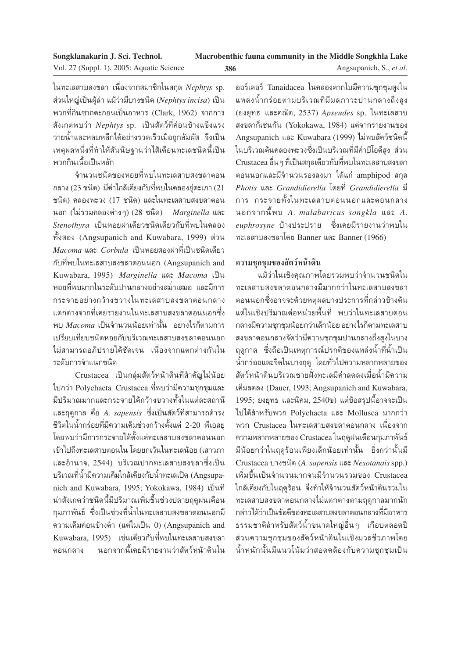ในทะเลสาบสงขลา เนื่องจากสมาชิกในสกุล *Nephtys* sp. ส่วนใหญ่เป็นผู้ล่า แม้ว่ามีบางชนิด (Nephtys incisa) เป็น พวกที่กินซากตะกอนเป็นอาหาร (Clark, 1962) จากการ ้สังเกตพบว่า Nephtys sp. เป็นสัตว์ที่ค่อนข้างแข็งแรง ว่ายน้ำและหลบหลีกได้อย่างรวดเร็วเมื่อถูกสัมผัส จึงเป็น เหตุผลหนึ่งที่ทำให้สันนิษฐานว่าไส้เดือนทะเลชนิดนี้เป็น พวกกินเนื้อเป็นหลัก

จำนวนชนิดของหอยที่พบในทะเลสาบสงขลาตอน ึกลาง (23 ชนิด) มีค่าใกล้เคียงกับที่พบในคลองอ่ตะเภา (21 ชนิด) คลองพะวง (17 ชนิด) และในทะเลสาบสงขลาตอน นอก (ไม่รวมคลองต่างๆ) (28 ชนิด) Marginella และ  $\emph{Stenothyra}$  เป็นหอยฝาเดียวชนิดเดียวกับที่พบในคลอง ทั้งสอง (Angsupanich and Kuwabara, 1999) ส่วน  $\emph{Macoma}$  และ  $\emph{Corbula}$  เป็นหอยสองฝาที่เป็นชนิดเดียว กับที่พบในทะเลสาบสงขลาตอนนอก (Angsupanich and Kuwabara, 1995) Marginella และ Macoma เป็น หอยที่พบมากในระดับปานกลางอย่างสม่ำเสมอ และมีการ กระจายอย่างกว้างขวางในทะเลสาบสงขลาตอนกลาง แตกต่างจากที่เคยรายงานในทะเลสาบสงขลาตอนนอกซึ่ง ้พบ Macoma เป็นจำนวนน้อยเท่านั้น อย่างไรก็ตามการ เปรียบเทียบชนิดหอยกับบริเวณทะเลสาบสงขลาตอนนอก ไม่สามารถอภิปรายได้ชัดเจน เนื่องจากแตกต่างกันใน ระดับการจำแนกชนิด

Crustacea เป็นกลุ่มสัตว์หน้าดินที่สำคัญไม่น้อย ไปกว่า Polychaeta Crustacea ที่พบว่ามีความชุกชุมและ มีปริมาณมากและกระจายได้กว้างขวางทั้งในแต่ละสถานี และฤดูกาล คือ *A. sapensis ซึ่*งเป็นสัตว์ที่สามารถดำรง ้ชีวิตในน้ำกร่อยที่มีความเค็มช่วงกว้างตั้งแต่ 2-20 พีเอสยู โดยพบว่ามีการกระจายได้ตั้งแต่ทะเลสาบสงขลาตอนนอก เข้าไปถึงทะเลสาบตอนใน โดยยกเว้นในทะเลน้อย (เสาวภา และอำนาจ. 2544) บริเวณปากทะเลสาบสงขลาซึ่งเป็น ึบริเวณที่น้ำมีความเค็มใกล้เคียงกับน้ำทะเลเปิด (Angsupanich and Kuwabara, 1995; Yokokawa, 1984) เป็นที่ น่าสังเกตว่าชนิดนี้มีปริมาณเพิ่มขึ้นช่วงปลายฤดูฝนเดือน ้กุมภาพันธ์ ซึ่งเป็นช่วงที่น้ำในทะเลสาบสงขลาตอนนอกมี ความเค็มค่อนข้างต่ำ (แต่ไม่เป็น 0) (Angsupanich and Kuwabara, 1995) เช่นเดียวกับที่พบในทะเลสาบสงขลา นอกจากนี้เคยมีรายงานว่าสัตว์หน้าดินใน ตอนกลาง

ออร์เดอร์ Tanaidacea ในคลองตากใบมีความชุกชุมสูงใน แหล่งน้ำกร่อยตามบริเวณที่มีมลภาวะปานกลางถึงสูง (ยงยทธ และคณิต, 2537) Apseudes sp. ในทะเลสาบ สงขลาก็เช่นกัน (Yokokawa, 1984) แต่จากรายงานของ Angsupanich และ Kuwabara (1999) ไม่พบสัตว์ชนิดนี้ ในบริเวณต้นคลองพะวงซึ่งเป็นบริเวณที่มีค่าบีโอดีสูง ส่วน Crustacea อื่น ๆ ที่เป็นสกุลเดียวกับที่พบในทะเลสาบสงขลา ตอนนอกและมีจำนวนรองลงมา ได้แก่ amphipod สกุล Photis และ Grandidierella โดยที่ Grandidierella มี การ กระจายทั้งในทะเลสาบตอนนอกและตอนกลาง นอกจากนี้พบ A. malabaricus songkla และ A. *euphrosyne* บ้างประปราย ซึ่งเคยมีรายงานว่าพบใน ทะเลสาบสงขลาโดย Banner และ Banner (1966)

# ความชุกชุมของสัตว์หน้าดิน

้แม้ว่าในเชิงคุณภาพโดยรวมพบว่าจำนวนชนิดใน ทะเลสาบสงขลาตอนกลางมีมากกว่าในทะเลสาบสงขลา ตอนนอกซึ่งอาจจะด้วยหตุผลบางประการที่กล่าวข้างต้น แต่ในเชิงปริมาณต่อหน่วยพื้นที่ พบว่าในทะเลสาบตอน ึกลางมีความชุกชุมน้อยกว่าเล็กน้อย อย่างไรก็ตามทะเลสาบ สงขลาตอนกลางจัดว่ามีความชุกชุมปานกลางถึงสูงในบาง ฤดูกาล ซึ่งถือเป็นเหตุการณ์ปรกติของแหล่งน้ำที่น้ำเป็น น้ำกร่อยและจืดในบางฤดู โดยทั่วไปความหลากหลายของ สัตว์หน้าดินบริเวณชายฝั่งทะเลมีค่าลดลงเมื่อน้ำมีความ เค็มลดลง (Dauer, 1993; Angsupanich and Kuwabara, 1995; ยงยุทธ และนิคม, 2540ข) แต่ข้อสรุปนี้อาจจะเป็น ไปได้สำหรับพวก Polychaeta และ Mollusca มากกว่า พวก Crustacea ในทะเลสาบสงขลาตอนกลาง เนื่องจาก ความหลากหลายของ Crustacea ในฤดูฝนเดือนกุมภาพันธ์ มีน้อยกว่าในฤดูร้อนเพียงเล็กน้อยเท่านั้น ยิ่งกว่านั้นมี Crustacea บางชนิด (A. sapensis และ Nesotanais spp.) ้เพิ่มขึ้นเป็นจำนวนมากจนมีจำนวนรวมของ Crustacea ใกล้เคียงกับในฤดูร้อน จึงทำให้จำนวนสัตว์หน้าดินรวมใน ทะเลสาบสงขลาตอนกลางไม่แตกต่างตามฤดูกาลมากนัก กล่าวได้ว่าเป็นข้อดีของทะเลสาบสงขลาตอนกลางที่มีอาหาร ธรรมชาติสำหรับสัตว์น้ำขนาดใหญ่อื่นๆ เกือบตลอดปี ส่วนความชุกชุมของสัตว์หน้าดินในเชิงมวลชีวภาพโดย น้ำหนักนั้นมีแนวโน้มว่าสอดคล้องกับความชุกชุมเป็น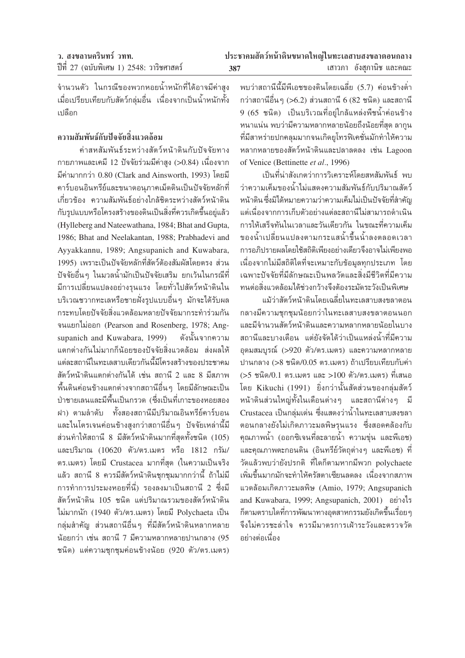จำนวนตัว ในกรณีของพวกหอยน้ำหนักที่ได้อาจมีค่าสูง เมื่อเปรียบเทียบกับสัตว์กลุ่มอื่น เนื่องจากเป็นน้ำหนักทั้ง เปลือก

# ความสัมพันธ์กับปัจจัยสิ่งแวดล้อม

ค่าสหสัมพันธ์ระหว่างสัตว์หน้าดินกับปัจจัยทาง กายภาพและเคมี 12 ปัจจัยร่วมมีค่าสูง (>0.84) เนื่องจาก มีค่ามากกว่า 0.80 (Clark and Ainsworth, 1993) โดยมี คาร์บอนอินทรีย์และขนาดอนภาคเม็ดดินเป็นปัจจัยหลักที่ เกี่ยวข้อง ความสัมพันธ์อย่างใกล้ชิดระหว่างสัตว์หน้าดิน กับรูปแบบหรือโครงสร้างของดินเป็นสิ่งที่ควรเกิดขึ้นอยู่แล้ว (Hylleberg and Nateewathana, 1984; Bhat and Gupta, 1986; Bhat and Neelakantan, 1988; Prabhadevi and Ayyakkannu, 1989; Angsupanich and Kuwabara, 1995) เพราะเป็นปัจจัยหลักที่สัตว์ต้องสัมผัสโดยตรง ส่วน ปัจจัยอื่นๆ ในมวลน้ำมักเป็นปัจจัยเสริม ยกเว้นในกรณีที่ ้มีการเปลี่ยนแปลงอย่างรุนแรง โดยทั่วไปสัตว์หน้าดินใน บริเวณชวากทะเลหรือชายฝั่งรูปแบบอื่นๆ มักจะได้รับผล กระทบโดยปัจจัยสิ่งแวดล้อมหลายปัจจัยมากระทำร่วมกัน จนแยกไม่ออก (Pearson and Rosenberg, 1978; Angsupanich and Kuwabara, 1999) ดังนั้นจากความ แตกต่างกันไม่มากก็นักยายองปัจจัยสิ่งแวดล้อม ส่งผลให้ แต่ละสถานีในทะเลสาบเดียวกันนี้มีโครงสร้างของประชาคม สัตว์หน้าดินแตกต่างกันได้ เช่น สถานี 2 และ 8 มีสภาพ ์ พื้นดินค่อนข้างแตกต่างจากสถานีอื่น ๆ โดยมีลักษณะเป็น ป่าชายเลนและมีพื้นเป็นกรวด (ซึ่งเป็นที่เกาะของหอยสอง ีฝา) ตามลำดับ ทั้งสองสถานีมีปริมาณอินทรีย์คาร์บอน และไนโตรเจนค่อนข้างสูงกว่าสถานีอื่นๆ ปัจจัยเหล่านี้มี ส่วนทำให้สถานี 8 มีสัตว์หน้าดินมากที่สุดทั้งชนิด (105) และปริมาณ (10620 ตัว/ตร.เมตร หรือ 1812 กรัม/ ตร.เมตร) โดยมี Crustacea มากที่สุด (ในความเป็นจริง แล้ว สถานี 8 ควรมีสัตว์หน้าดินชุกชุมมากกว่านี้ ถ้าไม่มี การทำการประมงหอยที่นี่) รองลงมาเป็นสถานี 2 ซึ่งมี สัตว์หน้าดิน 105 ชนิด แต่ปริมาณรวมของสัตว์หน้าดิน ไม่มากนัก (1940 ตัว/ตร.เมตร) โดยมี Polychaeta เป็น ึกลุ่มสำคัญ ส่วนสถานีอื่นๆ ที่มีสัตว์หน้าดินหลากหลาย ้น้อยกว่า เช่น สถานี 7 มีความหลากหลายปานกลาง (95 ชนิด) แต่ความชุกชุมค่อนข้างน้อย (920 ตัว/ตร.เมตร)

พบว่าสถานีนี้มีพีเอชของดินโดยเฉลี่ย (5.7) ค่อนข้างต่ำ กว่าสถานีอื่น ๆ (>6.2) ส่วนสถานี 6 (82 ชนิด) และสถานี 9 (65 ชนิด) เป็นบริเวณที่อยู่ใกล้แหล่งพืชน้ำค่อนข้าง หนาแน่น พบว่ามีความหลากหลายน้อยถึงน้อยที่สุด ลากุน ที่มีสาหร่ายปกคลมมากจนเกิดยุโทรฟิเคชั่นมักทำให้ความ หลากหลายของสัตว์หน้าดินและปลาลดลง เช่น Lagoon of Venice (Bettinette et al., 1996)

เป็นที่น่าสังเกตว่าการวิเคราะห์โดยสหสัมพันธ์ พบ ว่าความเค็มของน้ำไม่แสดงความสัมพันธ์กับปริมาณสัตว์ หน้าดิน ซึ่งมิได้หมายความว่าความเค็มไม่เป็นปัจจัยที่สำคัญ แต่เนื่องจากการเก็บตัวอย่างแต่ละสถานีไม่สามารถดำเนิน การให้เสร็จทันในเวลาและวันเดียวกัน ในขณะที่ความเค็ม ของน้ำเปลี่ยนแปลงตามกระแสน้ำขึ้นน้ำลงตลอดเวลา การอภิปรายผลโดยใช้สถิติเพียงอย่างเดียวจึงอาจไม่เพียงพอ เนื่องจากไม่มีสถิติใดที่จะเหมาะกับข้อมลทกประเภท โดย เฉพาะปัจจัยที่มีลักษณะเป็นพลวัตและสิ่งมีชีวิตที่มีความ ทนต่อสิ่งแวดล้อมได้ช่วงกว้างจึงต้องระมัดระวังเป็นพิเศษ

แม้ว่าสัตว์หน้าดินโดยเฉลี่ยในทะเลสาบสงขลาตอน กลางมีความชุกชุมน้อยกว่าในทะเลสาบสงขลาตอนนอก และมีจำนวนสัตว์หน้าดินและความหลากหลายน้อยในบาง สถานีและบางเดือน แต่ยังจัดได้ว่าเป็นแหล่งน้ำที่มีความ อุดมสมบูรณ์ (>920 ตัว/ตร.เมตร) และความหลากหลาย ปานกลาง (>8 ชนิด/0.05 ตร.เมตร) ถ้าเปรียบเทียบกับค่า (>5 ชนิด/0.1 ตร.เมตร และ >100 ตัว/ตร.เมตร) ที่เสนอ โดย Kikuchi (1991) ยิ่งกว่านั้นสัดส่วนของกลุ่มสัตว์ หน้าดินส่วนใหญ่ทั้งในเดือนต่างๆ และสถานีต่างๆ มี Crustacea เป็นกลุ่มเด่น ซึ่งแสดงว่าน้ำในทะเลสาบสงขลา ตอนกลางยังไม่เกิดภาวะมลพิษรนแรง ซึ่งสอดคล้องกับ คุณภาพน้ำ (ออกซิเจนที่ละลายน้ำ ความขุ่น และพีเอช) และคุณภาพตะกอนดิน (อินทรีย์วัตถุต่างๆ และพีเอช) ที่ วัดแล้วพบว่ายังปรกติ ที่ใดก็ตามหากมีพวก polvchaete ้เพิ่มขึ้นมากมักจะทำให้ครัสตาเซียนลดลง เนื่องจากสภาพ แวดล้อมเกิดภาวะมลพิษ (Amio, 1979; Angsupanich and Kuwabara, 1999; Angsupanich, 2001) อย่างไร ก็ตามตราบใดที่การพัฒนาทางอุตสาหกรรมยังเกิดขึ้นเรื่อย ๆ จึงไม่ควรชะล่าใจ ควรมีมาตรการเฝ้าระวังและตรวจวัด อย่างต่อเนื่อง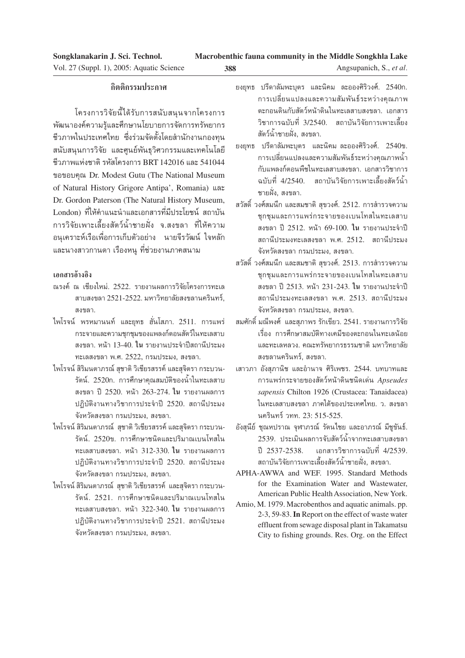| Songklanakarin J. Sci. Technol.           |     | Macrobenthic fauna community in the Middle Songkhla Lake |
|-------------------------------------------|-----|----------------------------------------------------------|
| Vol. 27 (Suppl. 1), 2005: Aquatic Science | 388 | Angsupanich, S., et al.                                  |

#### **°'µµ'°√√¡ª√–°"»**

โครงการวิจัยนี้ได้รับการสนับสนุนจากโครงการ พัฒนาองค์ความรู้และศึกษานโยบายการจัดการทรัพยากร ชีวภาพในประเทศไทย ซึ่งร่วมจัดตั้งโดยสำนักงานกองทน สนับสนนการวิจัย และศูนย์พันธุวิศวกรรมและเทคโนโลยี ู้ชีวภาพแห่งชาติ รหัสโครงการ BRT 142016 และ 541044 ขอขอบคุณ Dr. Modest Gutu (The National Museum of Natural History Grigore Antipa', Romania) และ Dr. Gordon Paterson (The Natural History Museum, London) ที่ให้คำแนะนำและเอกสารที่มีประโยชน์ สถาบัน การวิจัยเพาะเลี้ยงสัตว์น้ำชายฝั่ง จ.สงขลา ที่ให้ความ ือนเคราะห์เรือเพื่อการเก็บตัวอย่าง นายจีรวัฒน์ ใจหลัก และนางสาวกานดา เรื่องหนู ที่ช่วยงานภาคสนาม

#### **‡Õ° "√Õâ"ßÕ'ß**

- ำนรงค์ ณ เชียงใหม่, 2522. รายงานผลการวิจัยโครงการทะเล สาบสงขลา 2521-2522. มหาวิทยาลัยสงขลานครินทร์ สงขอ∩
- ู้ไพโรจน์ พรหมานนท์ และยุทธ ฮั่นโสภา. 2511. การแพร่ ึกระจายและความชุกชุมของแพลงก์ตอนสัตว์ในทะเลสาบ ิสงขลา. หน้า 13-40. **ใน** รายงานประจำปีสถานีประมง ทะเลสงขลา พ.ศ. 2522, กรมประมง, สงขลา.
- ไพโรจน์ สิริมนตาภรณ์ สุชาติ วิเชียรสรรค์ และสุจิตรา กระบวน-้รัตน์. 2520ก. การศึกษาคุณสมบัติของน้ำในทะเลสาบ ิสงขลา ปี 2520. หน้า 263-274. **ใน** รายงานผลการ ปฏิบัติงานทางวิชาการประจำปี 2520. สถานีประมง จังหวัดสงขลา กรมประมง, สงขลา.
- ์ ไพโรจน์ สิริมนตาภรณ์ สุชาติ วิเชียรสรรค์ และสุจิตรา กระบวน-ึรัตน์. 2520ข. การศึกษาชนิดและปริมาณเบนโทสใน ทะเลสาบสงขลา. หน้า 312-330. ใน รายงานผลการ ปฏิบัติงานทางวิชาการประจำปี 2520. สถานีประมง จังหวัดสงขลา กรมประมง, สงขลา.
- ไพโรจน์ สิริมนตาภรณ์ สุชาติ วิเชียรสรรค์ และสุจิตรา กระบวน-รัตน์. 2521. การศึกษาชนิดและปริมาณเบนโทสใน ∑–‡≈ "∫ ߢ≈". Àπâ" 322-340. **"π** √"¬ß"πº≈°"√ ปฏิบัติงานทางวิชาการประจำปี 2521. สถานีประมง จังหวัดสงขลา กรมประมง, สงขลา.
- $$$ ยงยุทธ ปรีดาลัมพะบุตร และนิคม ละอองศิริวงศ์. 2540ก. การเปลี่ยนแปลงและความสัมพันธ์ระหว่างคณภาพ ้ตะกอนดินกับสัตว์หน้าดินในทะเลสาบสงขลา. เอกสาร ีวิชาการฉบับที่ 3/2540. สถาบันวิจัยการเพาะเลี้ยง —µ«åπÈ"™"¬Ωíòß, ߢ≈".
- $$$ ยงยุทธ ปรีดาลัมพะบุตร และนิคม ละอองศิริวงศ์.  $2540$ ข. ึการเปลี่ยนแปลงและความสัมพันธ์ระหว่างคุณภาพน้ำ ้กับแพลงก์ตอนพืชในทะเลสาบสงขลา, เอกสารวิชาการ ี<br>ฉบับที่ 4/2540 สถาบันวิจัยการเพาะเลี้ยงสัตว์น้ำ ชายฝั่ง, สงขลา.
- สวัสดิ์ วงศ์สมนึก และสมชาติ สุขวงศ์. 2512. การสำรวจความ ชุกชุมและการแพร่กระจายของเบนโทสในทะเลสาบ ัสงขลา ปี 2512. หน้า 69-100. **ใน** รายงานประจำปี สถานีประมงทะเลสงขลา พ.ศ. 2512. สถานีประมง จังหวัดสงขลา กรมประมง. สงขลา.
- ี สวัสดิ์ วงศ์สมนึก และสมชาติ สขวงศ์. 2513. การสำรวจความ ชกชมและการแพร่กระจายของเบนโทสในทะเลสาบ ัสงขลา ปี 2513. หน้า 231-243. **ใน** รายงานประจำปี สถานีประมงทะเลสงขลา พ.ศ. 2513. สถานีประมง จังหวัดสงขลา กรมประมง, สงขลา.
- ิสมศักดิ์ มณีพงศ์ และสภาพร รักเขียว. 2541. รายงานการวิจัย ู้เรื่อง การศึกษาสมบัติทางเคมีของตะกอนในทะเลน้อย และทะเลหลวง. คณะทรัพยากรธรรมชาติ มหาวิทยาลัย สงขลานครินทร์. สงขลา.
- เสาวภา อังสุภานิช และอำนาจ ศิริเพชร. 2544. บทบาทและ °"√·æ√à°√–®"¬¢Õß —µ«åÀπâ"¥'π™π'¥‡¥àπ *Apseudes sapensis* Chilton 1926 (Crustacea: Tanaidacea) ในทะเลสาบสงขลา ภาคใต้ของประเทศไทย. ว. สงขลา นครินทร์ วทท. 23: 515-525.
- ้อังสุนีย์ ชุณหปราณ จุฬาภรณ์ รัตนไชย และอาภรณ์ มีชูขันธ์. 2539. ประเมินผลการจับสัตว์น้ำจากทะเลสาบสงขลา ปี 2537-2538. ⊥อกสารวิชาการฉบับที่ 4/2539. ื่ สถาบันวิจัยการเพาะเลี้ยงสัตว์น้ำชายฝั่ง. สงขลา.
- APHA-AWWA and WEF. 1995. Standard Methods for the Examination Water and Wastewater, American Public Health Association, New York.
- Amio, M. 1979. Macrobenthos and aquatic animals. pp. 2-3, 59-83. **In** Report on the effect of waste water effluent from sewage disposal plant in Takamatsu City to fishing grounds. Res. Org. on the Effect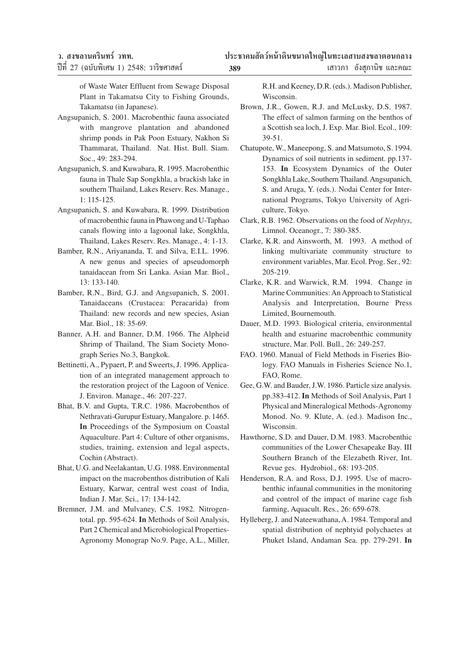ี่ เสาวภา อังสภานิช และคณะ

of Waste Water Effluent from Sewage Disposal Plant in Takamatsu City to Fishing Grounds, Takamatsu (in Japanese).

- Angsupanich, S. 2001. Macrobenthic fauna associated with mangrove plantation and abandoned shrimp ponds in Pak Poon Estuary, Nakhon Si Thammarat, Thailand. Nat. Hist. Bull. Siam. Soc., 49: 283-294.
- Angsupanich, S. and Kuwabara, R. 1995. Macrobenthic fauna in Thale Sap Songkhla, a brackish lake in southern Thailand, Lakes Reserv. Res. Manage., 1: 115-125.
- Angsupanich, S. and Kuwabara, R. 1999. Distribution of macrobenthic fauna in Phawong and U-Taphao canals flowing into a lagoonal lake, Songkhla, Thailand, Lakes Reserv. Res. Manage., 4: 1-13.
- Bamber, R.N., Ariyananda, T. and Silva, E.I.L. 1996. A new genus and species of apseudomorph tanaidacean from Sri Lanka. Asian Mar. Biol., 13: 133-140.
- Bamber, R.N., Bird, G.J. and Angsupanich, S. 2001. Tanaidaceans (Crustacea: Peracarida) from Thailand: new records and new species, Asian Mar. Biol., 18: 35-69.
- Banner, A.H. and Banner, D.M. 1966. The Alpheid Shrimp of Thailand, The Siam Society Monograph Series No.3, Bangkok.
- Bettinetti, A., Pypaert, P. and Sweerts, J. 1996. Application of an integrated management approach to the restoration project of the Lagoon of Venice. J. Environ. Manage., 46: 207-227.
- Bhat, B.V. and Gupta, T.R.C. 1986. Macrobenthos of Nethravati-Gurupur Estuary, Mangalore. p. 1465. **In** Proceedings of the Symposium on Coastal Aquaculture. Part 4: Culture of other organisms, studies, training, extension and legal aspects, Cochin (Abstract).
- Bhat, U.G. and Neelakantan, U.G. 1988. Environmental impact on the macrobenthos distribution of Kali Estuary, Karwar, central west coast of India, Indian J. Mar. Sci., 17: 134-142.
- Bremner, J.M. and Mulvaney, C.S. 1982. Nitrogentotal. pp. 595-624. **In** Methods of Soil Analysis, Part 2 Chemical and Microbiological Properties-Agronomy Monograp No.9. Page, A.L., Miller,

R.H. and Keeney, D.R. (eds.). Madison Publisher, Wisconsin.

- Brown, J.R., Gowen, R.J. and McLusky, D.S. 1987. The effect of salmon farming on the benthos of a Scottish sea loch, J. Exp. Mar. Biol. Ecol., 109: 39-51.
- Chatupote, W., Maneepong, S. and Matsumoto, S. 1994. Dynamics of soil nutrients in sediment. pp.137- 153. **In** Ecosystem Dynamics of the Outer Songkhla Lake, Southern Thailand. Angsupanich, S. and Aruga, Y. (eds.). Nodai Center for International Programs, Tokyo University of Agriculture, Tokyo.
- Clark, R.B. 1962. Observations on the food of *Nephtys*, Limnol. Oceanogr., 7: 380-385.
- Clarke, K.R. and Ainsworth, M. 1993. A method of linking multivariate community structure to environment variables, Mar. Ecol. Prog. Ser., 92: 205-219.
- Clarke, K.R. and Warwick, R.M. 1994. Change in Marine Communities: An Approach to Statistical Analysis and Interpretation, Bourne Press Limited, Bournemouth.
- Dauer, M.D. 1993. Biological criteria, environmental health and estuarine macrobenthic community structure, Mar. Poll. Bull., 26: 249-257.
- FAO. 1960. Manual of Field Methods in Fiseries Biology. FAO Manuals in Fisheries Science No.1, FAO, Rome.
- Gee, G.W. and Bauder, J.W. 1986. Particle size analysis. pp.383-412. **In** Methods of Soil Analysis, Part 1 Physical and Mineralogical Methods-Agronomy Monod. No. 9. Klute, A. (ed.). Madison Inc., Wisconsin.
- Hawthorne, S.D. and Dauer, D.M. 1983. Macrobenthic communities of the Lower Chesapeake Bay. III Southern Branch of the Elezabeth River, Int. Revue ges. Hydrobiol., 68: 193-205.
- Henderson, R.A. and Ross, D.J. 1995. Use of macrobenthic infaunal communities in the monitoring and control of the impact of marine cage fish farming, Aquacult. Res., 26: 659-678.
- Hylleberg, J. and Nateewathana, A. 1984. Temporal and spatial distribution of nephtyid polychaetes at Phuket Island, Andaman Sea. pp. 279-291. **In**